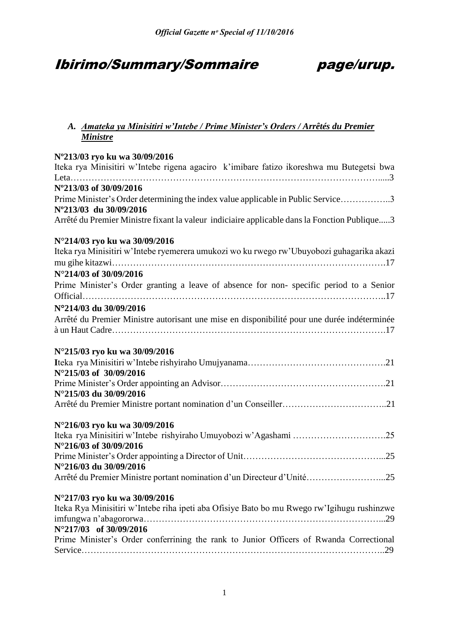# Ibirimo/Summary/Sommaire page/urup.

## *A. Amateka ya Minisitiri w'Intebe / Prime Minister's Orders / Arrêtés du Premier Ministre*

| N°213/03 ryo ku wa 30/09/2016<br>Iteka rya Minisitiri w'Intebe rigena agaciro k'imibare fatizo ikoreshwa mu Butegetsi bwa<br>N°213/03 of 30/09/2016<br>Prime Minister's Order determining the index value applicable in Public Service3<br>N°213/03 du 30/09/2016<br>Arrêté du Premier Ministre fixant la valeur indiciaire applicable dans la Fonction Publique3<br>Iteka rya Minisitiri w'Intebe ryemerera umukozi wo ku rwego rw'Ubuyobozi guhagarika akazi<br>Prime Minister's Order granting a leave of absence for non-specific period to a Senior<br>N°214/03 du 30/09/2016<br>Arrêté du Premier Ministre autorisant une mise en disponibilité pour une durée indéterminée<br>N°216/03 ryo ku wa 30/09/2016<br>N°216/03 du 30/09/2016<br>Arrêté du Premier Ministre portant nomination d'un Directeur d'Unité25<br>N°217/03 ryo ku wa 30/09/2016<br>Iteka Rya Minisitiri w'Intebe riha ipeti aba Ofisiye Bato bo mu Rwego rw'Igihugu rushinzwe<br>.29<br>N°217/03 of 30/09/2016<br>Prime Minister's Order conferrining the rank to Junior Officers of Rwanda Correctional |                               |
|----------------------------------------------------------------------------------------------------------------------------------------------------------------------------------------------------------------------------------------------------------------------------------------------------------------------------------------------------------------------------------------------------------------------------------------------------------------------------------------------------------------------------------------------------------------------------------------------------------------------------------------------------------------------------------------------------------------------------------------------------------------------------------------------------------------------------------------------------------------------------------------------------------------------------------------------------------------------------------------------------------------------------------------------------------------------------------|-------------------------------|
|                                                                                                                                                                                                                                                                                                                                                                                                                                                                                                                                                                                                                                                                                                                                                                                                                                                                                                                                                                                                                                                                                  |                               |
|                                                                                                                                                                                                                                                                                                                                                                                                                                                                                                                                                                                                                                                                                                                                                                                                                                                                                                                                                                                                                                                                                  |                               |
|                                                                                                                                                                                                                                                                                                                                                                                                                                                                                                                                                                                                                                                                                                                                                                                                                                                                                                                                                                                                                                                                                  |                               |
|                                                                                                                                                                                                                                                                                                                                                                                                                                                                                                                                                                                                                                                                                                                                                                                                                                                                                                                                                                                                                                                                                  |                               |
|                                                                                                                                                                                                                                                                                                                                                                                                                                                                                                                                                                                                                                                                                                                                                                                                                                                                                                                                                                                                                                                                                  |                               |
|                                                                                                                                                                                                                                                                                                                                                                                                                                                                                                                                                                                                                                                                                                                                                                                                                                                                                                                                                                                                                                                                                  |                               |
|                                                                                                                                                                                                                                                                                                                                                                                                                                                                                                                                                                                                                                                                                                                                                                                                                                                                                                                                                                                                                                                                                  |                               |
|                                                                                                                                                                                                                                                                                                                                                                                                                                                                                                                                                                                                                                                                                                                                                                                                                                                                                                                                                                                                                                                                                  | N°214/03 ryo ku wa 30/09/2016 |
|                                                                                                                                                                                                                                                                                                                                                                                                                                                                                                                                                                                                                                                                                                                                                                                                                                                                                                                                                                                                                                                                                  |                               |
|                                                                                                                                                                                                                                                                                                                                                                                                                                                                                                                                                                                                                                                                                                                                                                                                                                                                                                                                                                                                                                                                                  |                               |
|                                                                                                                                                                                                                                                                                                                                                                                                                                                                                                                                                                                                                                                                                                                                                                                                                                                                                                                                                                                                                                                                                  | N°214/03 of 30/09/2016        |
|                                                                                                                                                                                                                                                                                                                                                                                                                                                                                                                                                                                                                                                                                                                                                                                                                                                                                                                                                                                                                                                                                  |                               |
|                                                                                                                                                                                                                                                                                                                                                                                                                                                                                                                                                                                                                                                                                                                                                                                                                                                                                                                                                                                                                                                                                  |                               |
|                                                                                                                                                                                                                                                                                                                                                                                                                                                                                                                                                                                                                                                                                                                                                                                                                                                                                                                                                                                                                                                                                  |                               |
|                                                                                                                                                                                                                                                                                                                                                                                                                                                                                                                                                                                                                                                                                                                                                                                                                                                                                                                                                                                                                                                                                  |                               |
|                                                                                                                                                                                                                                                                                                                                                                                                                                                                                                                                                                                                                                                                                                                                                                                                                                                                                                                                                                                                                                                                                  |                               |
|                                                                                                                                                                                                                                                                                                                                                                                                                                                                                                                                                                                                                                                                                                                                                                                                                                                                                                                                                                                                                                                                                  |                               |
|                                                                                                                                                                                                                                                                                                                                                                                                                                                                                                                                                                                                                                                                                                                                                                                                                                                                                                                                                                                                                                                                                  | N°215/03 ryo ku wa 30/09/2016 |
|                                                                                                                                                                                                                                                                                                                                                                                                                                                                                                                                                                                                                                                                                                                                                                                                                                                                                                                                                                                                                                                                                  |                               |
|                                                                                                                                                                                                                                                                                                                                                                                                                                                                                                                                                                                                                                                                                                                                                                                                                                                                                                                                                                                                                                                                                  | N°215/03 of 30/09/2016        |
|                                                                                                                                                                                                                                                                                                                                                                                                                                                                                                                                                                                                                                                                                                                                                                                                                                                                                                                                                                                                                                                                                  |                               |
|                                                                                                                                                                                                                                                                                                                                                                                                                                                                                                                                                                                                                                                                                                                                                                                                                                                                                                                                                                                                                                                                                  | N°215/03 du 30/09/2016        |
|                                                                                                                                                                                                                                                                                                                                                                                                                                                                                                                                                                                                                                                                                                                                                                                                                                                                                                                                                                                                                                                                                  |                               |
|                                                                                                                                                                                                                                                                                                                                                                                                                                                                                                                                                                                                                                                                                                                                                                                                                                                                                                                                                                                                                                                                                  |                               |
|                                                                                                                                                                                                                                                                                                                                                                                                                                                                                                                                                                                                                                                                                                                                                                                                                                                                                                                                                                                                                                                                                  |                               |
|                                                                                                                                                                                                                                                                                                                                                                                                                                                                                                                                                                                                                                                                                                                                                                                                                                                                                                                                                                                                                                                                                  | N°216/03 of 30/09/2016        |
|                                                                                                                                                                                                                                                                                                                                                                                                                                                                                                                                                                                                                                                                                                                                                                                                                                                                                                                                                                                                                                                                                  |                               |
|                                                                                                                                                                                                                                                                                                                                                                                                                                                                                                                                                                                                                                                                                                                                                                                                                                                                                                                                                                                                                                                                                  |                               |
|                                                                                                                                                                                                                                                                                                                                                                                                                                                                                                                                                                                                                                                                                                                                                                                                                                                                                                                                                                                                                                                                                  |                               |
|                                                                                                                                                                                                                                                                                                                                                                                                                                                                                                                                                                                                                                                                                                                                                                                                                                                                                                                                                                                                                                                                                  |                               |
|                                                                                                                                                                                                                                                                                                                                                                                                                                                                                                                                                                                                                                                                                                                                                                                                                                                                                                                                                                                                                                                                                  |                               |
|                                                                                                                                                                                                                                                                                                                                                                                                                                                                                                                                                                                                                                                                                                                                                                                                                                                                                                                                                                                                                                                                                  |                               |
|                                                                                                                                                                                                                                                                                                                                                                                                                                                                                                                                                                                                                                                                                                                                                                                                                                                                                                                                                                                                                                                                                  |                               |
|                                                                                                                                                                                                                                                                                                                                                                                                                                                                                                                                                                                                                                                                                                                                                                                                                                                                                                                                                                                                                                                                                  |                               |
|                                                                                                                                                                                                                                                                                                                                                                                                                                                                                                                                                                                                                                                                                                                                                                                                                                                                                                                                                                                                                                                                                  |                               |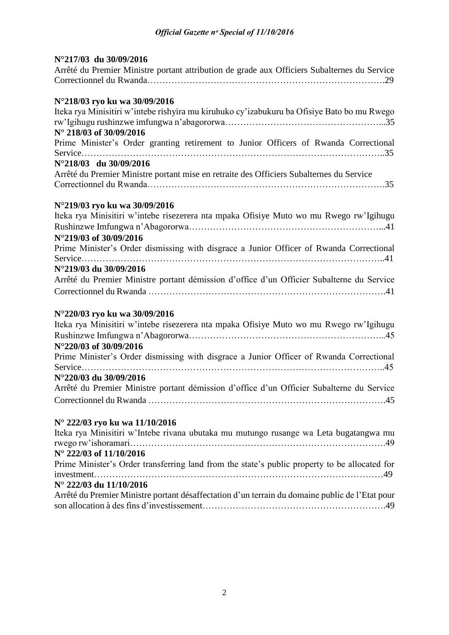| N°217/03 du 30/09/2016                                                                       |
|----------------------------------------------------------------------------------------------|
| Arrêté du Premier Ministre portant attribution de grade aux Officiers Subalternes du Service |
|                                                                                              |
|                                                                                              |
| N°218/03 ryo ku wa 30/09/2016                                                                |
| Iteka rya Minisitiri w'intebe rishyira mu kiruhuko cy'izabukuru ba Ofisiye Bato bo mu Rwego  |
|                                                                                              |
| N° 218/03 of 30/09/2016                                                                      |
| Prime Minister's Order granting retirement to Junior Officers of Rwanda Correctional         |
|                                                                                              |
| N°218/03 du 30/09/2016                                                                       |
| Arrêté du Premier Ministre portant mise en retraite des Officiers Subalternes du Service     |
|                                                                                              |
|                                                                                              |
| N°219/03 ryo ku wa 30/09/2016                                                                |
| Iteka rya Minisitiri w'intebe risezerera nta mpaka Ofisiye Muto wo mu Rwego rw'Igihugu       |
|                                                                                              |
| N°219/03 of 30/09/2016                                                                       |
| Prime Minister's Order dismissing with disgrace a Junior Officer of Rwanda Correctional      |
|                                                                                              |
| N°219/03 du 30/09/2016                                                                       |
| Arrêté du Premier Ministre portant démission d'office d'un Officier Subalterne du Service    |
|                                                                                              |
|                                                                                              |
| N°220/03 ryo ku wa 30/09/2016                                                                |
| Iteka rya Minisitiri w'intebe risezerera nta mpaka Ofisiye Muto wo mu Rwego rw'Igihugu       |
|                                                                                              |
| N°220/03 of 30/09/2016                                                                       |
| Prime Minister's Order dismissing with disgrace a Junior Officer of Rwanda Correctional      |
|                                                                                              |

| N°220/03 du 30/09/2016                             |  |
|----------------------------------------------------|--|
| Arrêté du Premier Ministre portant démission d'off |  |

| Arrêté du Premier Ministre portant démission d'office d'un Officier Subalterne du Service |  |  |  |  |
|-------------------------------------------------------------------------------------------|--|--|--|--|
|                                                                                           |  |  |  |  |

# **N° 222/03 ryo ku wa 11/10/2016**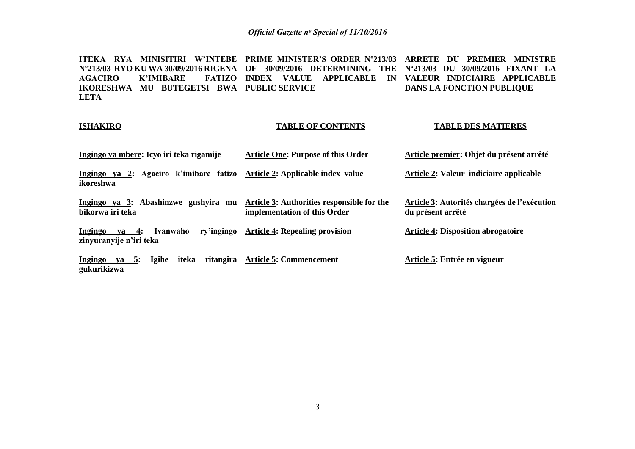**ITEKA RYA MINISITIRI W'INTEBE PRIME MINISTER'S ORDER Nº213/03 ARRETE DU PREMIER MINISTRE Nº213/03 RYO KU WA 30/09/2016 RIGENA OF 30/09/2016 DETERMINING THE Nº213/03 DU 30/09/2016 FIXANT LA AGACIRO K'IMIBARE IKORESHWA MU BUTEGETSI BWA PUBLIC SERVICE LETA INDEX VALUE APPLICABLE IN VALEUR INDICIAIRE APPLICABLE DANS LA FONCTION PUBLIQUE** 

#### **ISHAKIRO**

#### **TABLE OF CONTENTS**

**TABLE DES MATIERES**

#### **Ingingo ya mbere: Icyo iri teka rigamije Ingingo ya 2: Agaciro k'imibare fatizo Article 2: Applicable index value ikoreshwa Ingingo ya 3: Abashinzwe gushyira mu bikorwa iri teka Ingingo va 4: Ivanwaho zinyuranyije n'iri teka Ingingo ya 5: Igihe iteka ritangira Article 5: Commencement gukurikizwa Article One: Purpose of this Order Article 3: Authorities responsible for the implementation of this Order Article 4: Repealing provision Article premier: Objet du présent arrêté Article 2: Valeur indiciaire applicable Article 3: Autorités chargées de l'exécution du présent arrêté Article 4: Disposition abrogatoire Article 5: Entrée en vigueur**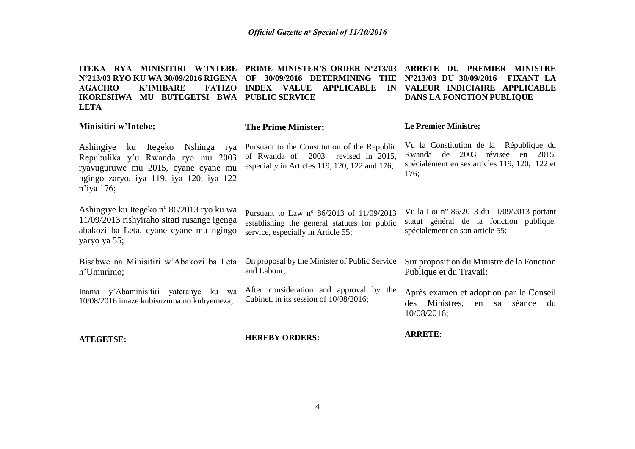**ITEKA RYA MINISITIRI W'INTEBE PRIME MINISTER'S ORDER Nº213/03 ARRETE DU PREMIER MINISTRE Nº213/03 RYO KU WA 30/09/2016 RIGENA OF 30/09/2016 DETERMINING THE Nº213/03 DU 30/09/2016 FIXANT LA AGACIRO K'IMIBARE IKORESHWA MU BUTEGETSI BWA PUBLIC SERVICE LETA INDEX VALUE APPLICABLE IN VALEUR INDICIAIRE APPLICABLE DANS LA FONCTION PUBLIQUE**

### **Minisitiri w'Intebe;**

#### **The Prime Minister;**

#### **Le Premier Ministre;**

Ashingiye ku Itegeko Nshinga rya Repubulika y'u Rwanda ryo mu 2003 ryavuguruwe mu 2015, cyane cyane mu ngingo zaryo, iya 119, iya 120, iya 122 n'iya 176;

Ashingiye ku Itegeko nº 86/2013 ryo ku wa 11/09/2013 rishyiraho sitati rusange igenga abakozi ba Leta, cyane cyane mu ngingo yaryo ya 55;

Bisabwe na Minisitiri w'Abakozi ba Leta n'Umurimo;

Inama y'Abaminisitiri yateranye ku wa 10/08/2016 imaze kubisuzuma no kubyemeza; After consideration and approval by the Cabinet, in its session of 10/08/2016;

Pursuant to the Constitution of the Republic of Rwanda of 2003 revised in 2015, especially in Articles 119, 120, 122 and 176;

Pursuant to Law n° 86/2013 of 11/09/2013 establishing the general statutes for public

On proposal by the Minister of Public Service

service, especially in Article 55;

Vu la Constitution de la République du Rwanda de 2003 révisée en 2015, spécialement en ses articles 119, 120, 122 et 176;

Vu la Loi n° 86/2013 du 11/09/2013 portant statut général de la fonction publique, spécialement en son article 55;

Sur proposition du Ministre de la Fonction Publique et du Travail;

Après examen et adoption par le Conseil des Ministres, en sa séance du 10/08/2016;

**ATEGETSE:**

**HEREBY ORDERS:**

and Labour;

**ARRETE:**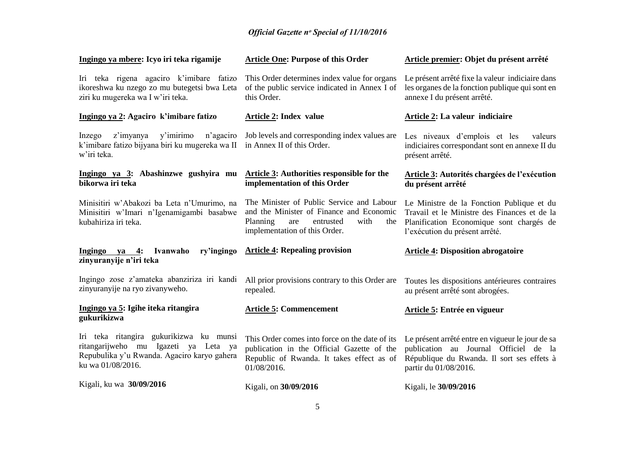| Ingingo ya mbere: Icyo iri teka rigamije                                                                                                            | <b>Article One: Purpose of this Order</b>                                                                                                                             | Article premier: Objet du présent arrêté                                                                                                                                |
|-----------------------------------------------------------------------------------------------------------------------------------------------------|-----------------------------------------------------------------------------------------------------------------------------------------------------------------------|-------------------------------------------------------------------------------------------------------------------------------------------------------------------------|
| Iri teka rigena agaciro k'imibare fatizo<br>ikoreshwa ku nzego zo mu butegetsi bwa Leta<br>ziri ku mugereka wa I w'iri teka.                        | This Order determines index value for organs<br>of the public service indicated in Annex I of<br>this Order.                                                          | Le présent arrêté fixe la valeur indiciaire dans<br>les organes de la fonction publique qui sont en<br>annexe I du présent arrêté.                                      |
| Ingingo ya 2: Agaciro k'imibare fatizo                                                                                                              | <b>Article 2: Index value</b>                                                                                                                                         | Article 2: La valeur indiciaire                                                                                                                                         |
| z'imyanya<br>y'imirimo<br>n'agaciro<br>Inzego<br>k'imibare fatizo bijyana biri ku mugereka wa II<br>w'iri teka.                                     | Job levels and corresponding index values are<br>in Annex II of this Order.                                                                                           | Les niveaux d'emplois et les<br>valeurs<br>indiciaires correspondant sont en annexe II du<br>présent arrêté.                                                            |
| Ingingo ya 3: Abashinzwe gushyira mu<br>bikorwa iri teka                                                                                            | <b>Article 3: Authorities responsible for the</b><br>implementation of this Order                                                                                     | Article 3: Autorités chargées de l'exécution<br>du présent arrêté                                                                                                       |
| Minisitiri w'Abakozi ba Leta n'Umurimo, na<br>Minisitiri w'Imari n'Igenamigambi basabwe<br>kubahiriza iri teka.                                     | The Minister of Public Service and Labour<br>and the Minister of Finance and Economic<br>Planning<br>entrusted<br>with<br>are<br>the<br>implementation of this Order. | Le Ministre de la Fonction Publique et du<br>Travail et le Ministre des Finances et de la<br>Planification Economique sont chargés de<br>l'exécution du présent arrêté. |
|                                                                                                                                                     |                                                                                                                                                                       |                                                                                                                                                                         |
| ry'ingingo<br>Ingingo ya<br>Ivanwaho<br>4:<br>zinyuranyije n'iri teka                                                                               | <b>Article 4: Repealing provision</b>                                                                                                                                 | <b>Article 4: Disposition abrogatoire</b>                                                                                                                               |
| Ingingo zose z'amateka abanziriza iri kandi<br>zinyuranyije na ryo zivanyweho.                                                                      | All prior provisions contrary to this Order are<br>repealed.                                                                                                          | Toutes les dispositions antérieures contraires<br>au présent arrêté sont abrogées.                                                                                      |
| Ingingo ya 5: Igihe iteka ritangira<br>gukurikizwa                                                                                                  | <b>Article 5: Commencement</b>                                                                                                                                        | Article 5: Entrée en vigueur                                                                                                                                            |
| Iri teka ritangira gukurikizwa ku munsi<br>ritangarijweho mu Igazeti ya Leta ya<br>Repubulika y'u Rwanda. Agaciro karyo gahera<br>ku wa 01/08/2016. | This Order comes into force on the date of its<br>publication in the Official Gazette of the<br>Republic of Rwanda. It takes effect as of<br>01/08/2016.              | Le présent arrêté entre en vigueur le jour de sa<br>publication au Journal Officiel de la<br>République du Rwanda. Il sort ses effets à<br>partir du 01/08/2016.        |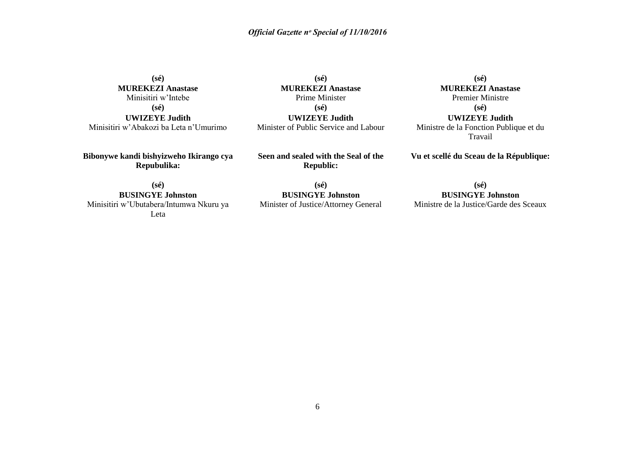**(sé) MUREKEZI Anastase** Minisitiri w'Intebe **(sé) UWIZEYE Judith**

Minisitiri w'Abakozi ba Leta n'Umurimo

**(sé) MUREKEZI Anastase** Prime Minister **(sé) UWIZEYE Judith** Minister of Public Service and Labour

**(sé) MUREKEZI Anastase**

Premier Ministre **(sé) UWIZEYE Judith** Ministre de la Fonction Publique et du

Travail

**Vu et scellé du Sceau de la République:**

**Bibonywe kandi bishyizweho Ikirango cya Repubulika:**

**Seen and sealed with the Seal of the Republic:**

**(sé)**

**(sé) BUSINGYE Johnston** Minisitiri w'Ubutabera/Intumwa Nkuru ya Leta

**(sé) BUSINGYE Johnston** Minister of Justice/Attorney General

**BUSINGYE Johnston** Ministre de la Justice/Garde des Sceaux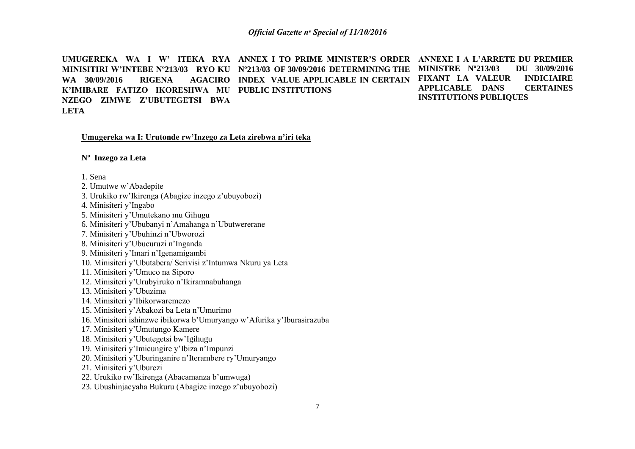UMUGEREKA WA I W'ITEKA RYA ANNEX I TO PRIME MINISTER'S ORDER ANNEXE I A L'ARRETE DU PREMIER **MINISITIRI W'INTEBE Nº213/03 RYO KU Nº213/03 OF 30/09/2016 DETERMINING THE MINISTRE Nº213/03 DU 30/09/2016 WA 30/09/2016 RIGENA K'IMIBARE FATIZO IKORESHWA MU PUBLIC INSTITUTIONS NZEGO ZIMWE Z'UBUTEGETSI BWA LETA INDEX VALUE APPLICABLE IN CERTAIN FIXANT LA VALEUR INDICIAIRE APPLICABLE DANS CERTAINES INSTITUTIONS PUBLIQUES** 

#### **Umugereka wa I: Urutonde rw'Inzego za Leta zirebwa n'iri teka**

**Nº Inzego za Leta**

1. Sena

- 2. Umutwe w'Abadepite
- 3. Urukiko rw'Ikirenga (Abagize inzego z'ubuyobozi)
- 4. Minisiteri y'Ingabo
- 5. Minisiteri y'Umutekano mu Gihugu
- 6. Minisiteri y'Ububanyi n'Amahanga n'Ubutwererane
- 7. Minisiteri y'Ubuhinzi n'Ubworozi
- 8. Minisiteri y'Ubucuruzi n'Inganda
- 9. Minisiteri y'Imari n'Igenamigambi
- 10. Minisiteri y'Ubutabera/ Serivisi z'Intumwa Nkuru ya Leta
- 11. Minisiteri y'Umuco na Siporo
- 12. Minisiteri y'Urubyiruko n'Ikiramnabuhanga
- 13. Minisiteri y'Ubuzima
- 14. Minisiteri y'Ibikorwaremezo
- 15. Minisiteri y'Abakozi ba Leta n'Umurimo
- 16. Minisiteri ishinzwe ibikorwa b'Umuryango w'Afurika y'Iburasirazuba
- 17. Minisiteri y'Umutungo Kamere
- 18. Minisiteri y'Ubutegetsi bw'Igihugu
- 19. Minisiteri y'Imicungire y'Ibiza n'Impunzi
- 20. Minisiteri y'Uburinganire n'Iterambere ry'Umuryango
- 21. Minisiteri y'Uburezi
- 22. Urukiko rw'Ikirenga (Abacamanza b'umwuga)
- 23. Ubushinjacyaha Bukuru (Abagize inzego z'ubuyobozi)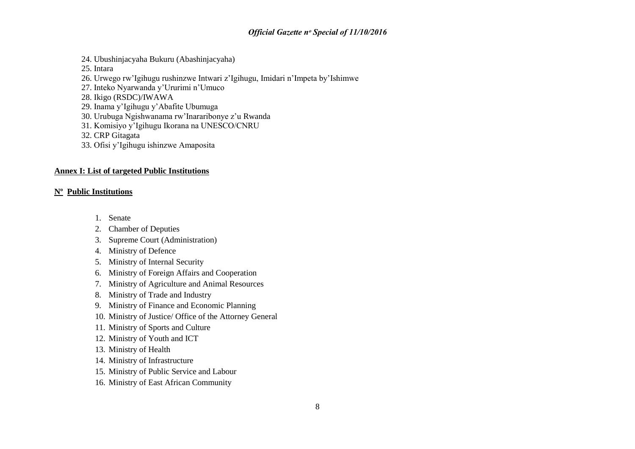- 24. Ubushinjacyaha Bukuru (Abashinjacyaha)
- 25. Intara
- 26. Urwego rw'Igihugu rushinzwe Intwari z'Igihugu, Imidari n'Impeta by'Ishimwe
- 27. Inteko Nyarwanda y'Ururimi n'Umuco
- 28. Ikigo (RSDC)/IWAWA
- 29. Inama y'Igihugu y'Abafite Ubumuga
- 30. Urubuga Ngishwanama rw'Inararibonye z'u Rwanda
- 31. Komisiyo y'Igihugu Ikorana na UNESCO/CNRU
- 32. CRP Gitagata
- 33. Ofisi y'Igihugu ishinzwe Amaposita

#### **Annex I: List of targeted Public Institutions**

#### **Nº Public Institutions**

- 1. Senate
- 2. Chamber of Deputies
- 3. Supreme Court (Administration)
- 4. Ministry of Defence
- 5. Ministry of Internal Security
- 6. Ministry of Foreign Affairs and Cooperation
- 7. Ministry of Agriculture and Animal Resources
- 8. Ministry of Trade and Industry
- 9. Ministry of Finance and Economic Planning
- 10. Ministry of Justice/ Office of the Attorney General
- 11. Ministry of Sports and Culture
- 12. Ministry of Youth and ICT
- 13. Ministry of Health
- 14. Ministry of Infrastructure
- 15. Ministry of Public Service and Labour
- 16. Ministry of East African Community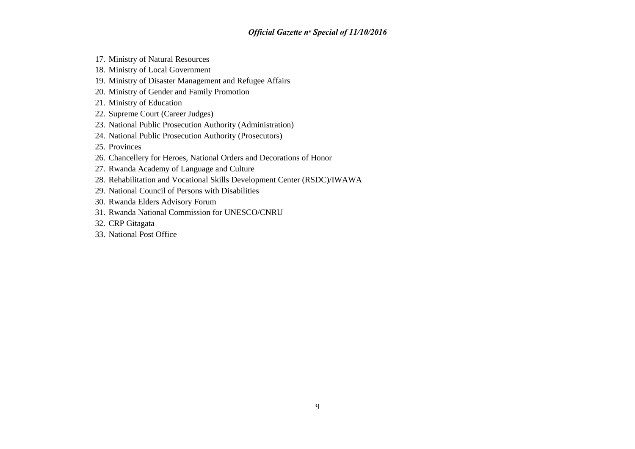- 17. Ministry of Natural Resources
- 18. Ministry of Local Government
- 19. Ministry of Disaster Management and Refugee Affairs
- 20. Ministry of Gender and Family Promotion
- 21. Ministry of Education
- 22. Supreme Court (Career Judges)
- 23. National Public Prosecution Authority (Administration)
- 24. National Public Prosecution Authority (Prosecutors)
- 25. Provinces
- 26. Chancellery for Heroes, National Orders and Decorations of Honor
- 27. Rwanda Academy of Language and Culture
- 28. Rehabilitation and Vocational Skills Development Center (RSDC)/IWAWA
- 29. National Council of Persons with Disabilities
- 30. Rwanda Elders Advisory Forum
- 31. Rwanda National Commission for UNESCO/CNRU
- 32. CRP Gitagata
- 33. National Post Office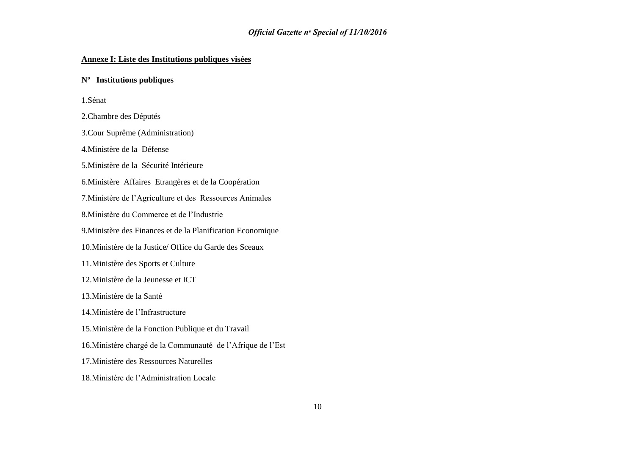#### **Annexe I: Liste des Institutions publiques visées**

#### **Nº Institutions publiques**

1.Sénat

2.Chambre des Députés

3.Cour Suprême (Administration)

4.Ministère de la Défense

5.Ministère de la Sécurité Intérieure

6.Ministère Affaires Etrangères et de la Coopération

7.Ministère de l'Agriculture et des Ressources Animales

8.Ministère du Commerce et de l'Industrie

9.Ministère des Finances et de la Planification Economique

10.Ministère de la Justice/ Office du Garde des Sceaux

11.Ministère des Sports et Culture

12.Ministère de la Jeunesse et ICT

13.Ministère de la Santé

14.Ministère de l'Infrastructure

15.Ministère de la Fonction Publique et du Travail

16.Ministère chargé de la Communauté de l'Afrique de l'Est

17.Ministère des Ressources Naturelles

18.Ministère de l'Administration Locale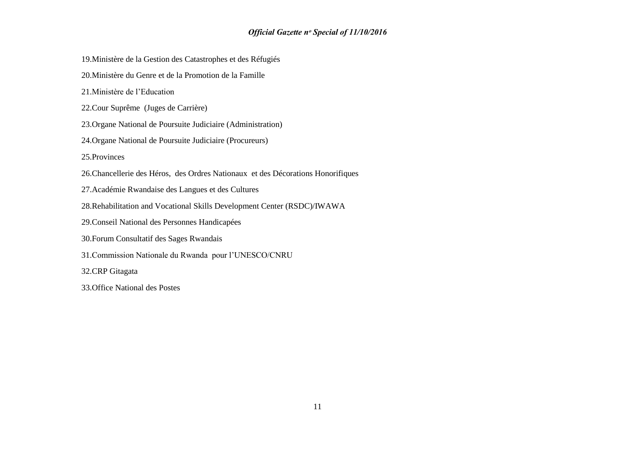- 19.Ministère de la Gestion des Catastrophes et des Réfugiés
- 20.Ministère du Genre et de la Promotion de la Famille
- 21.Ministère de l'Education
- 22.Cour Suprême (Juges de Carrière)
- 23.Organe National de Poursuite Judiciaire (Administration)
- 24.Organe National de Poursuite Judiciaire (Procureurs)
- 25.Provinces
- 26.Chancellerie des Héros, des Ordres Nationaux et des Décorations Honorifiques
- 27.Académie Rwandaise des Langues et des Cultures
- 28.Rehabilitation and Vocational Skills Development Center (RSDC)/IWAWA
- 29.Conseil National des Personnes Handicapées
- 30.Forum Consultatif des Sages Rwandais
- 31.Commission Nationale du Rwanda pour l'UNESCO/CNRU
- 32.CRP Gitagata
- 33.Office National des Postes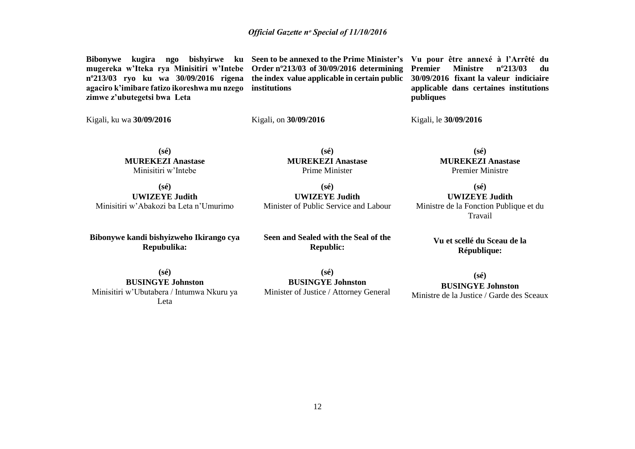**Bibonywe kugira ngo bishyirwe ku Seen to be annexed to the Prime Minister's Vu pour être annexé à l'Arrêté du mugereka w'Iteka rya Minisitiri w'Intebe Order nº213/03 of 30/09/2016 determining nº213/03 ryo ku wa 30/09/2016 rigena the index value applicable in certain public 30/09/2016 fixant la valeur indiciaire agaciro k'imibare fatizo ikoreshwa mu nzego institutions zimwe z'ubutegetsi bwa Leta**

**Premier Ministre nº213/03 du applicable dans certaines institutions publiques**

Kigali, ku wa **30/09/2016**

Kigali, on **30/09/2016**

Kigali, le **30/09/2016**

**(sé) MUREKEZI Anastase** Minisitiri w'Intebe

**(sé) MUREKEZI Anastase** Prime Minister

**(sé) UWIZEYE Judith** Minisitiri w'Abakozi ba Leta n'Umurimo

**Bibonywe kandi bishyizweho Ikirango cya Repubulika:**

**(sé) UWIZEYE Judith** Minister of Public Service and Labour

**Seen and Sealed with the Seal of the Republic:**

**MUREKEZI Anastase** Premier Ministre

**(sé)**

**(sé) UWIZEYE Judith** Ministre de la Fonction Publique et du Travail

> **Vu et scellé du Sceau de la République:**

**(sé) BUSINGYE Johnston** Minisitiri w'Ubutabera / Intumwa Nkuru ya Leta

**(sé) BUSINGYE Johnston** Minister of Justice / Attorney General

**(sé) BUSINGYE Johnston** Ministre de la Justice / Garde des Sceaux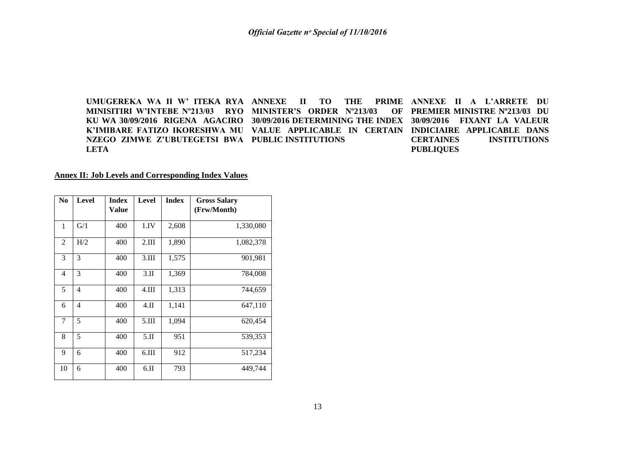**UMUGEREKA WA II W' ITEKA RYA ANNEXE II TO THE PRIME MINISITIRI W'INTEBE Nº213/03 RYO MINISTER'S ORDER Nº213/03 OF KU WA 30/09/2016 RIGENA AGACIRO 30/09/2016 DETERMINING THE INDEX 30/09/2016 FIXANT LA VALEUR K'IMIBARE FATIZO IKORESHWA MU VALUE APPLICABLE IN CERTAIN INDICIAIRE APPLICABLE DANS NZEGO ZIMWE Z'UBUTEGETSI BWA PUBLIC INSTITUTIONS LETA PRIME ANNEXE II A L'ARRETE DU** OF PREMIER MINISTRE Nº213/03 DU **CERTAINES INSTITUTIONS PUBLIQUES**

#### **Annex II: Job Levels and Corresponding Index Values**

| N <sub>0</sub> | <b>Level</b>   | <b>Index</b> | Level          | <b>Index</b> | <b>Gross Salary</b> |
|----------------|----------------|--------------|----------------|--------------|---------------------|
|                |                | Value        |                |              | (Frw/Month)         |
| 1              | G/1            | 400          | 1.IV           | 2,608        | 1,330,080           |
| $\overline{c}$ | H/2            | 400          | 2.III          | 1,890        | 1,082,378           |
| 3              | 3              | 400          | 3.III          | 1,575        | 901,981             |
| 4              | 3              | 400          | 3.II           | 1,369        | 784,008             |
| 5              | $\overline{4}$ | 400          | $4.\text{III}$ | 1,313        | 744,659             |
| 6              | $\overline{4}$ | 400          | $4.\Pi$        | 1,141        | 647,110             |
| 7              | 5              | 400          | 5.III          | 1,094        | 620,454             |
| 8              | 5              | 400          | 5.II           | 951          | 539,353             |
| 9              | 6              | 400          | 6.III          | 912          | 517,234             |
| 10             | 6              | 400          | 6.II           | 793          | 449,744             |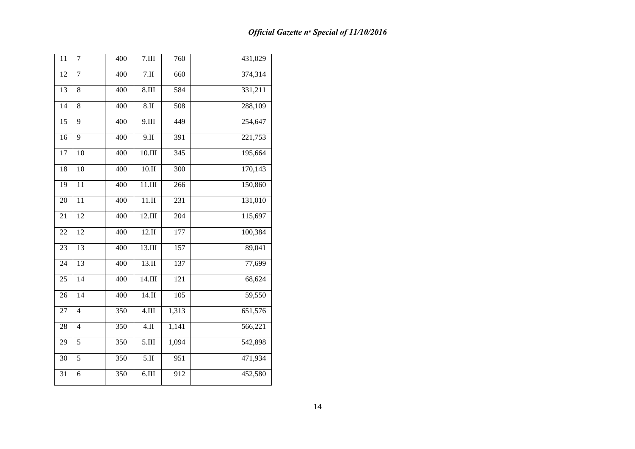| 11              | $\overline{7}$  | 400 | 7.III                       | 760              | 431,029              |
|-----------------|-----------------|-----|-----------------------------|------------------|----------------------|
| $\overline{12}$ | $\overline{7}$  | 400 | 7.II                        | 660              | 374,314              |
| 13              | 8               | 400 | $8.1$ III                   | 584              | 331,211              |
| $\overline{14}$ | 8               | 400 | 8.II                        | 508              | 288,109              |
| $\overline{15}$ | 9               | 400 | 9.III                       | 449              | 254,647              |
| $\overline{16}$ | 9               | 400 | 9.II                        | 391              | 221,753              |
| $\overline{17}$ | 10              | 400 | $10.\overline{III}$         | 345              | 195,664              |
| 18              | $\overline{10}$ | 400 | 10.II                       | 300              | 170,143              |
| 19              | $\overline{11}$ | 400 | 11.III                      | 266              | 150,860              |
| 20              | 11              | 400 | $11.\overline{\mathrm{II}}$ | 231              | 131,010              |
| $\overline{21}$ | 12              | 400 | 12.III                      | 204              | 115,697              |
| 22              | 12              | 400 | 12.II                       | 177              | 100,384              |
| 23              | 13              | 400 | 13.III                      | 157              | 89,041               |
| $\overline{24}$ | 13              | 400 | 13.II                       | 137              | 77,699               |
| 25              | 14              | 400 | 14.III                      | $\overline{121}$ | 68,624               |
| 26              | 14              | 400 | 14.II                       | 105              | 59,550               |
| 27              | $\overline{4}$  | 350 | 4.III                       | 1,313            | 651,576              |
| $\overline{28}$ | 4               | 350 | $4.\overline{II}$           | 1,141            | $\overline{566,221}$ |
| $\overline{29}$ | $\overline{5}$  | 350 | 5.III                       | 1,094            | 542,898              |
| 30              | 5               | 350 | 5.II                        | 951              | 471,934              |
| 31              | 6               | 350 | 6.III                       | 912              | 452,580              |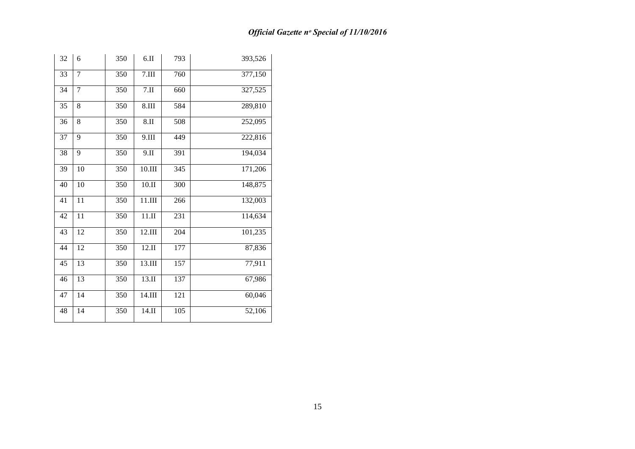| 32 | 6               | 350 | 6.II                      | 793 | 393,526 |
|----|-----------------|-----|---------------------------|-----|---------|
| 33 | 7               | 350 | $7.\overline{\text{III}}$ | 760 | 377,150 |
| 34 | 7               | 350 | 7.II                      | 660 | 327,525 |
| 35 | 8               | 350 | $8.\mathrm{III}$          | 584 | 289,810 |
| 36 | 8               | 350 | 8.II                      | 508 | 252,095 |
| 37 | 9               | 350 | 9.III                     | 449 | 222,816 |
| 38 | 9               | 350 | 9.II                      | 391 | 194,034 |
| 39 | 10              | 350 | 10.III                    | 345 | 171,206 |
| 40 | 10              | 350 | 10.II                     | 300 | 148,875 |
| 41 | 11              | 350 | $11.\rm{III}$             | 266 | 132,003 |
| 42 | 11              | 350 | 11.II                     | 231 | 114,634 |
| 43 | 12              | 350 | 12.III                    | 204 | 101,235 |
| 44 | 12              | 350 | 12.II                     | 177 | 87,836  |
| 45 | $\overline{13}$ | 350 | 13.III                    | 157 | 77,911  |
| 46 | 13              | 350 | 13.II                     | 137 | 67,986  |
| 47 | 14              | 350 | 14.III                    | 121 | 60,046  |
| 48 | 14              | 350 | 14.II                     | 105 | 52,106  |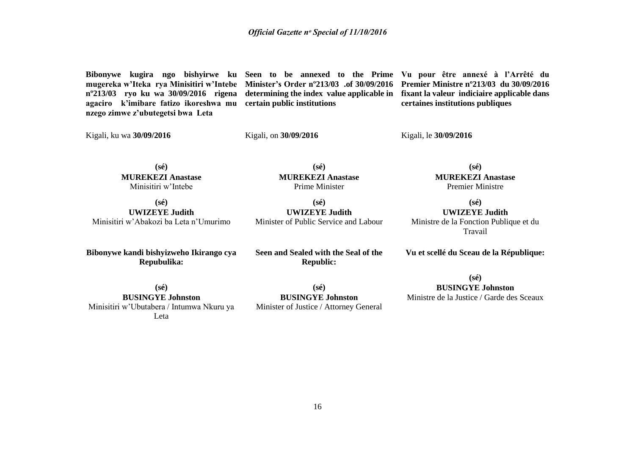**Bibonywe kugira ngo bishyirwe ku Seen to be annexed to the Prime Vu pour être annexé à l'Arrêté du mugereka w'Iteka rya Minisitiri w'Intebe Minister's Order nº213/03 .of 30/09/2016 Premier Ministre nº213/03 du 30/09/2016 nº213/03 ryo ku wa 30/09/2016 rigena agaciro k'imibare fatizo ikoreshwa mu nzego zimwe z'ubutegetsi bwa Leta**

**certain public institutions**

**determining the index value applicable in fixant la valeur indiciaire applicable dans certaines institutions publiques**

Kigali, ku wa **30/09/2016**

Kigali, on **30/09/2016**

Kigali, le **30/09/2016**

**(sé) MUREKEZI Anastase** Minisitiri w'Intebe

**(sé) MUREKEZI Anastase** Prime Minister

**(sé) UWIZEYE Judith** Minisitiri w'Abakozi ba Leta n'Umurimo

**Bibonywe kandi bishyizweho Ikirango cya Repubulika:**

**(sé)**

**UWIZEYE Judith** Minister of Public Service and Labour

**(sé) MUREKEZI Anastase** Premier Ministre

**(sé) UWIZEYE Judith** Ministre de la Fonction Publique et du Travail

**Vu et scellé du Sceau de la République:**

**(sé) BUSINGYE Johnston** Minisitiri w'Ubutabera / Intumwa Nkuru ya Leta

**Seen and Sealed with the Seal of the Republic:**

**(sé) BUSINGYE Johnston** Minister of Justice / Attorney General

**(sé) BUSINGYE Johnston** Ministre de la Justice / Garde des Sceaux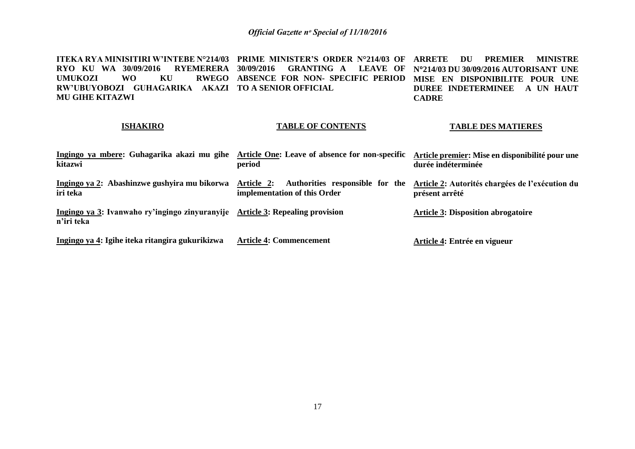**ITEKA RYA MINISITIRI W'INTEBE N°214/03 PRIME MINISTER'S ORDER N°214/03 OF ARRETE DU PREMIER MINISTRE RYO KU WA 30/09/2016 RYEMERERA 30/09/2016 GRANTING A LEAVE OF N214/03 DU 30/09/2016 AUTORISANT UNE UMUKOZI WO KU RWEGO ABSENCE FOR NON- SPECIFIC PERIOD MISE EN DISPONIBILITE POUR UNE RW'UBUYOBOZI GUHAGARIKA AKAZI TO A SENIOR OFFICIAL MU GIHE KITAZWI DUREE INDETERMINEE A UN HAUT CADRE**

#### **ISHAKIRO**

#### **TABLE OF CONTENTS**

#### **TABLE DES MATIERES**

| Ingingo ya mbere: Guhagarika akazi mu gihe<br>kitazwi                                       | Article One: Leave of absence for non-specific<br>period                      | Article premier: Mise en disponibilité pour une<br>durée indéterminée |
|---------------------------------------------------------------------------------------------|-------------------------------------------------------------------------------|-----------------------------------------------------------------------|
| Ingingo ya 2: Abashinzwe gushyira mu bikorwa<br>iri teka                                    | Authorities responsible for the<br>Article 2:<br>implementation of this Order | Article 2: Autorités chargées de l'exécution du<br>présent arrêté     |
| Ingingo ya 3: Ivanwaho ry'ingingo zinyuranyije Article 3: Repealing provision<br>n'iri teka |                                                                               | <b>Article 3: Disposition abrogatoire</b>                             |
| Ingingo ya 4: Igihe iteka ritangira gukurikizwa                                             | <b>Article 4: Commencement</b>                                                | Article 4: Entrée en vigueur                                          |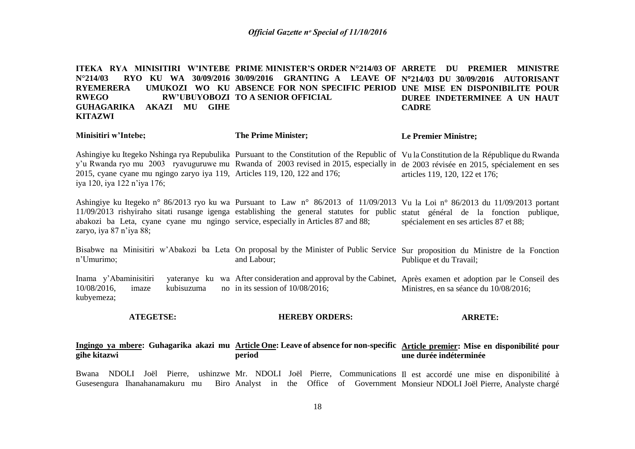**ITEKA RYA MINISITIRI W'INTEBE PRIME MINISTER'S ORDER N°214/03 OF ARRETE DU PREMIER MINISTRE N°214/03 RYO KU WA 30/09/2016 30/09/2016 GRANTING A LEAVE OF N214/03 DU 30/09/2016 AUTORISANT RYEMERERA UMUKOZI WO KU ABSENCE FOR NON SPECIFIC PERIOD UNE MISE EN DISPONIBILITE POUR RWEGO RW'UBUYOBOZI TO A SENIOR OFFICIAL GUHAGARIKA AKAZI MU GIHE KITAZWI DUREE INDETERMINEE A UN HAUT CADRE**

| Minisitiri w'Intebe;                                                                                         | <b>The Prime Minister;</b>                                                                                                                                                                                                                                                   | <b>Le Premier Ministre;</b>            |
|--------------------------------------------------------------------------------------------------------------|------------------------------------------------------------------------------------------------------------------------------------------------------------------------------------------------------------------------------------------------------------------------------|----------------------------------------|
| 2015, cyane cyane mu ngingo zaryo iya 119, Articles 119, 120, 122 and 176;<br>iya 120, iya 122 n'iya 176;    | Ashingiye ku Itegeko Nshinga rya Repubulika Pursuant to the Constitution of the Republic of Vula Constitution de la République du Rwanda<br>y'u Rwanda ryo mu 2003 ryavuguruwe mu Rwanda of 2003 revised in 2015, especially in de 2003 révisée en 2015, spécialement en ses | articles 119, 120, 122 et 176;         |
| abakozi ba Leta, cyane cyane mu ngingo service, especially in Articles 87 and 88;<br>zaryo, iya 87 n'iya 88; | Ashingiye ku Itegeko n° 86/2013 ryo ku wa Pursuant to Law n° 86/2013 of 11/09/2013 Vu la Loi n° 86/2013 du 11/09/2013 portant<br>11/09/2013 rishyiraho sitati rusange igenga establishing the general statutes for public statut général de la fonction publique,            | spécialement en ses articles 87 et 88; |

Bisabwe na Minisitiri w'Abakozi ba Leta On proposal by the Minister of Public Service Sur proposition du Ministre de la Fonction n'Umurimo; and Labour; Publique et du Travail;

Inama y'Abaminisitiri  $10/08/2016$ , imaze kubisuzuma kubyemeza; After consideration and approval by the Cabinet, Après examen et adoption par le Conseil des no in its session of  $10/08/2016$ ; Ministres, en sa séance du 10/08/2016;

#### **ATEGETSE: HEREBY ORDERS: ARRETE:**

#### **Ingingo ya mbere: Guhagarika akazi mu Article One: Leave of absence for non-specific Article premier: Mise en disponibilité pour gihe kitazwi period une durée indéterminée**

Bwana NDOLI Joël Pierre, ushinzwe Mr. NDOLI Joël Pierre, Communications Il est accordé une mise en disponibilité à Gusesengura Ihanahanamakuru mu Biro Analyst in the Office of Government Monsieur NDOLI Joël Pierre, Analyste chargé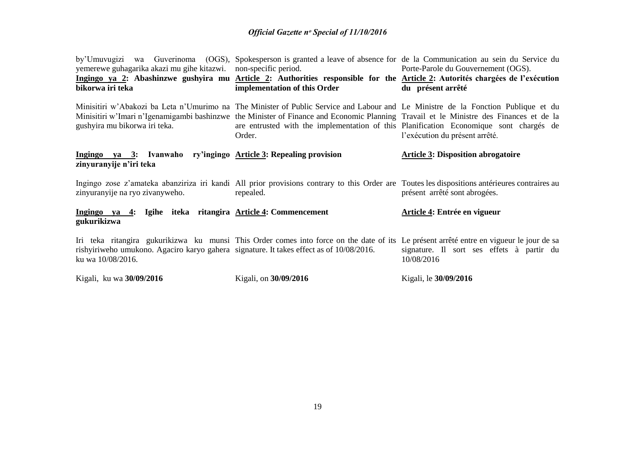| yemerewe guhagarika akazi mu gihe kitazwi. non-specific period.<br>bikorwa iri teka                          | by'Umuvugizi wa Guverinoma (OGS), Spokesperson is granted a leave of absence for de la Communication au sein du Service du<br>Ingingo ya 2: Abashinzwe gushyira mu Article 2: Authorities responsible for the Article 2: Autorités chargées de l'exécution<br>implementation of this Order                                                                                      | Porte-Parole du Gouvernement (OGS).<br>du présent arrêté |
|--------------------------------------------------------------------------------------------------------------|---------------------------------------------------------------------------------------------------------------------------------------------------------------------------------------------------------------------------------------------------------------------------------------------------------------------------------------------------------------------------------|----------------------------------------------------------|
| gushyira mu bikorwa iri teka.                                                                                | Minisitiri w'Abakozi ba Leta n'Umurimo na The Minister of Public Service and Labour and Le Ministre de la Fonction Publique et du<br>Minisitiri w'Imari n'Igenamigambi bashinzwe the Minister of Finance and Economic Planning Travail et le Ministre des Finances et de la<br>are entrusted with the implementation of this Planification Economique sont chargés de<br>Order. | l'exécution du présent arrêté.                           |
| Ingingo ya 3: Ivanwaho ry'ingingo Article 3: Repealing provision<br>zinyuranyije n'iri teka                  |                                                                                                                                                                                                                                                                                                                                                                                 | <b>Article 3: Disposition abrogatoire</b>                |
| zinyuranyije na ryo zivanyweho.                                                                              | Ingingo zose z'amateka abanziriza iri kandi All prior provisions contrary to this Order are Toutes les dispositions antérieures contraires au<br>repealed.                                                                                                                                                                                                                      | présent arrêté sont abrogées.                            |
| Ingingo ya 4: Igihe iteka ritangira Article 4: Commencement<br>gukurikizwa                                   |                                                                                                                                                                                                                                                                                                                                                                                 | Article 4: Entrée en vigueur                             |
| rishyiriweho umukono. Agaciro karyo gahera signature. It takes effect as of 10/08/2016.<br>ku wa 10/08/2016. | Iri teka ritangira gukurikizwa ku munsi This Order comes into force on the date of its Le présent arrêté entre en vigueur le jour de sa                                                                                                                                                                                                                                         | signature. Il sort ses effets à partir du<br>10/08/2016  |
| Kigali, ku wa 30/09/2016                                                                                     | Kigali, on 30/09/2016                                                                                                                                                                                                                                                                                                                                                           | Kigali, le 30/09/2016                                    |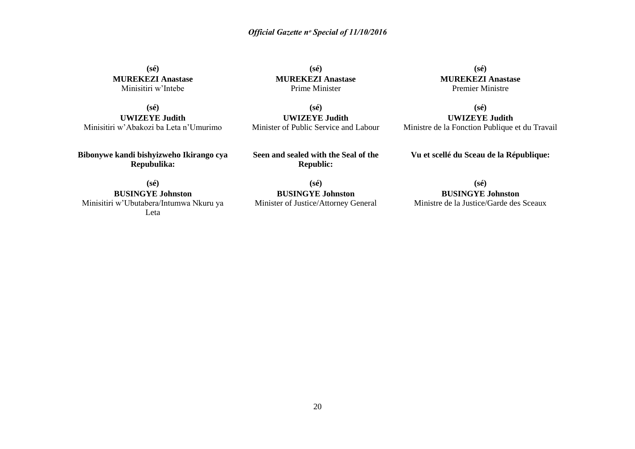**(sé) MUREKEZI Anastase** Minisitiri w'Intebe

**(sé) MUREKEZI Anastase** Prime Minister

**(sé) MUREKEZI Anastase** Premier Ministre

**(sé) UWIZEYE Judith** Minisitiri w'Abakozi ba Leta n'Umurimo

**(sé) UWIZEYE Judith** Minister of Public Service and Labour

**(sé) UWIZEYE Judith** Ministre de la Fonction Publique et du Travail

**Bibonywe kandi bishyizweho Ikirango cya Repubulika:**

**Seen and sealed with the Seal of the Republic:**

**Vu et scellé du Sceau de la République:**

**(sé) BUSINGYE Johnston** Minisitiri w'Ubutabera/Intumwa Nkuru ya Leta

**(sé) BUSINGYE Johnston** Minister of Justice/Attorney General

**(sé) BUSINGYE Johnston** Ministre de la Justice/Garde des Sceaux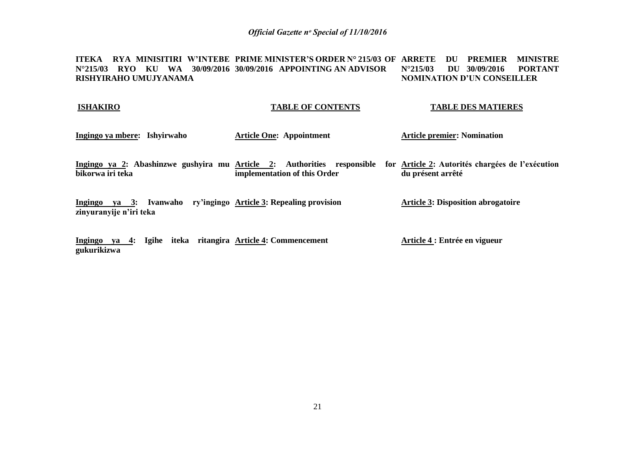**ITEKA RYA MINISITIRI W'INTEBE PRIME MINISTER'S ORDER N° 215/03 OF ARRETE DU PREMIER MINISTRE N°215/03 RYO KU WA 30/09/2016 30/09/2016 APPOINTING AN ADVISOR RISHYIRAHO UMUJYANAMA N°215/03 DU 30/09/2016 PORTANT NOMINATION D'UN CONSEILLER**

#### **ISHAKIRO TABLE OF CONTENTS TABLE DES MATIERES**

- **Ingingo ya mbere: Ishyirwaho Article One: Appointment Article premier: Nomination**
- Ingingo ya 2: Abashinzwe gushyira mu <u>Article 2</u>: Authorities responsible for <u>Article 2</u>: Autorités chargées de l'exécution **bikorwa iri teka implementation of this Order du présent arrêté**

**Ingingo ya 3: Ivanwaho ry'ingingo Article 3: Repealing provision zinyuranyije n'iri teka Article 3: Disposition abrogatoire**

**Ingingo ya 4: Igihe iteka ritangira Article 4: Commencement gukurikizwa Article 4 : Entrée en vigueur**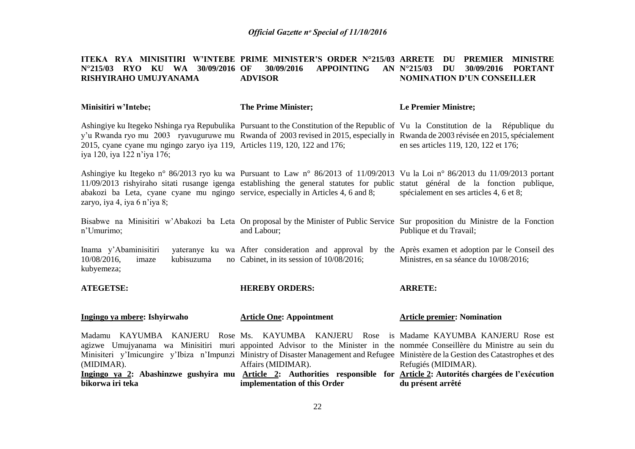#### **ITEKA RYA MINISITIRI W'INTEBE PRIME MINISTER'S ORDER N°215/03 ARRETE DU PREMIER MINISTRE N°215/03 RYO KU WA 30/09/2016 RISHYIRAHO UMUJYANAMA 30/09/2016 APPOINTING ADVISOR N°215/03 DU 30/09/2016 PORTANT NOMINATION D'UN CONSEILLER**

| Minisitiri w'Intebe; | The Prime Minister; | Le Premier Ministre; |
|----------------------|---------------------|----------------------|
|----------------------|---------------------|----------------------|

Ashingiye ku Itegeko Nshinga rya Repubulika Pursuant to the Constitution of the Republic of Vu la Constitution de la République du y'u Rwanda ryo mu 2003 ryavuguruwe mu Rwanda of 2003 revised in 2015, especially in Rwanda de 2003 révisée en 2015, spécialement 2015, cyane cyane mu ngingo zaryo iya 119, Articles 119, 120, 122 and 176; iya 120, iya 122 n'iya 176; en ses articles 119, 120, 122 et 176;

Ashingiye ku Itegeko n° 86/2013 ryo ku wa Pursuant to Law n° 86/2013 of 11/09/2013 Vu la Loi n° 86/2013 du 11/09/2013 portant 11/09/2013 rishyiraho sitati rusange igenga establishing the general statutes for public statut général de la fonction publique, abakozi ba Leta, cyane cyane mu ngingo service, especially in Articles 4, 6 and 8; zaryo, iya 4, iya 6 n'iya 8; spécialement en ses articles 4, 6 et 8;

Bisabwe na Minisitiri w'Abakozi ba Leta On proposal by the Minister of Public Service Sur proposition du Ministre de la Fonction n'Umurimo; and Labour; Publique et du Travail;

Inama y'Abaminisitiri  $10/08/2016$ , imaze kubisuzuma kubyemeza; After consideration and approval by the Après examen et adoption par le Conseil des Cabinet, in its session of 10/08/2016; Ministres, en sa séance du 10/08/2016;

**ARRETE:**

| A I LULI DLI                 | HEKEB I UKDEKS:                                                                                                                                                                                                                                                                                                                                                                                                                                                                                               | AKKE I E:                          |
|------------------------------|---------------------------------------------------------------------------------------------------------------------------------------------------------------------------------------------------------------------------------------------------------------------------------------------------------------------------------------------------------------------------------------------------------------------------------------------------------------------------------------------------------------|------------------------------------|
| Ingingo ya mbere: Ishyirwaho | <b>Article One: Appointment</b>                                                                                                                                                                                                                                                                                                                                                                                                                                                                               | <b>Article premier: Nomination</b> |
| (MIDIMAR).                   | Madamu KAYUMBA KANJERU Rose Ms. KAYUMBA KANJERU Rose is Madame KAYUMBA-KANJERU-Rose est<br>agizwe Umujyanama wa Minisitiri muri appointed Advisor to the Minister in the nommée Conseillère du Ministre au sein du<br>Minisiteri y'Imicungire y'Ibiza n'Impunzi Ministry of Disaster Management and Refugee Ministère de la Gestion des Catastrophes et des<br>Affairs (MIDIMAR).<br>Ingingo ya 2: Abashinzwe gushyira mu Article 2: Authorities responsible for Article 2: Autorités-chargées-de-l'exécution | Refugiés (MIDIMAR).                |
| bikorwa iri teka             | implementation of this Order                                                                                                                                                                                                                                                                                                                                                                                                                                                                                  | du présent arrêté                  |
|                              |                                                                                                                                                                                                                                                                                                                                                                                                                                                                                                               |                                    |

**HEREBY ORDERS:**

**ATEGETSE:**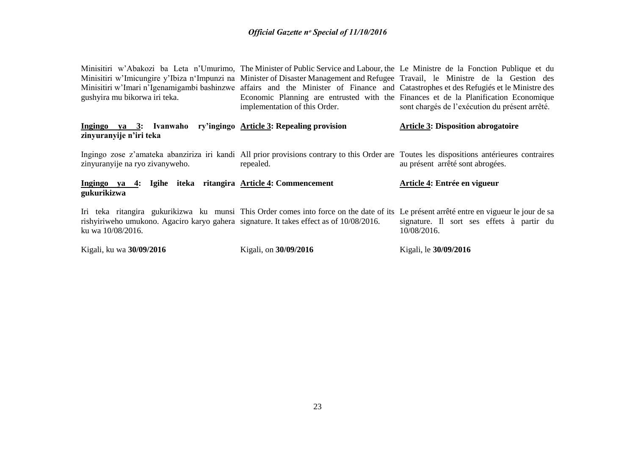Minisitiri w'Abakozi ba Leta n'Umurimo, The Minister of Public Service and Labour, the Le Ministre de la Fonction Publique et du Minisitiri w'Imicungire y'Ibiza n'Impunzi na Minister of Disaster Management and Refugee Travail, le Ministre de la Gestion des Minisitiri w'Imari n'Igenamigambi bashinzwe affairs and the Minister of Finance and Catastrophes et des Refugiés et le Ministre des gushyira mu bikorwa iri teka. Economic Planning are entrusted with the Finances et de la Planification Economique implementation of this Order. sont chargés de l'exécution du présent arrêté.

#### **Ingingo ya 3: Ivanwaho ry'ingingo Article 3: Repealing provision zinyuranyije n'iri teka Article 3: Disposition abrogatoire**

Ingingo zose z'amateka abanziriza iri kandi All prior provisions contrary to this Order are Toutes les dispositions antérieures contraires zinyuranyije na ryo zivanyweho. repealed. au présent arrêté sont abrogées.

#### **Ingingo ya 4: Igihe iteka ritangira Article 4: Commencement gukurikizwa Article 4: Entrée en vigueur**

Iri teka ritangira gukurikizwa ku munsi This Order comes into force on the date of its Le présent arrêté entre en vigueur le jour de sa rishyiriweho umukono. Agaciro karyo gahera signature. It takes effect as of 10/08/2016. ku wa 10/08/2016. signature. Il sort ses effets à partir du 10/08/2016.

Kigali, ku wa **30/09/2016** Kigali, on **30/09/2016** Kigali, le **30/09/2016**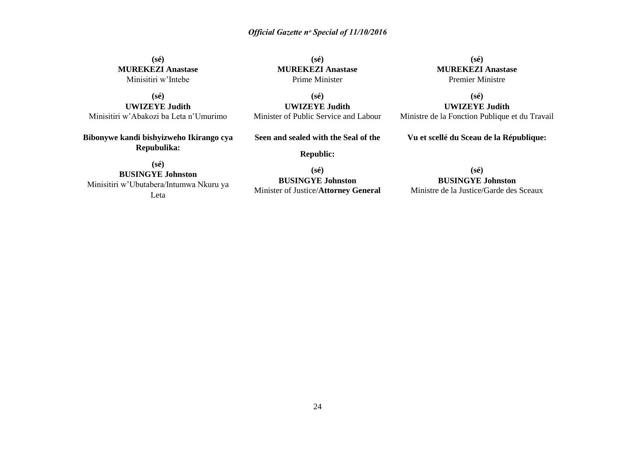**(sé) MUREKEZI Anastase** Minisitiri w'Intebe

**(sé) UWIZEYE Judith** Minisitiri w'Abakozi ba Leta n'Umurimo

**Bibonywe kandi bishyizweho Ikirango cya Repubulika:**

**(sé) MUREKEZI Anastase** Prime Minister

**(sé) UWIZEYE Judith** Minister of Public Service and Labour

**Seen and sealed with the Seal of the**

**Republic:**

**(sé) BUSINGYE Johnston** Minisitiri w'Ubutabera/Intumwa Nkuru ya Leta

**(sé) BUSINGYE Johnston** Minister of Justice/**Attorney General**

**(sé) MUREKEZI Anastase** Premier Ministre

**(sé) UWIZEYE Judith** Ministre de la Fonction Publique et du Travail

**Vu et scellé du Sceau de la République:**

**(sé) BUSINGYE Johnston** Ministre de la Justice/Garde des Sceaux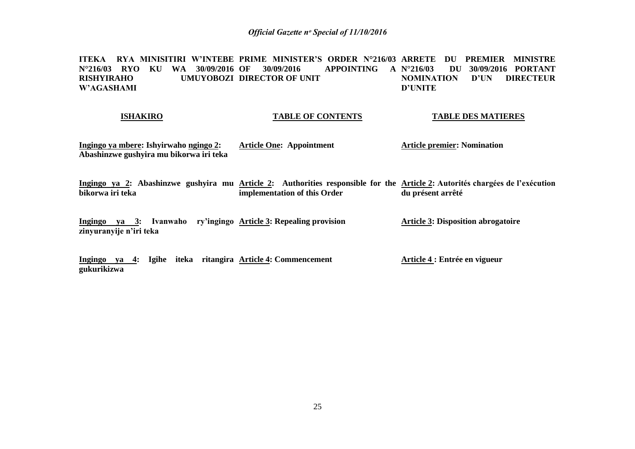**ITEKA RYA MINISITIRI W'INTEBE PRIME MINISTER'S ORDER N°216/03 ARRETE DU PREMIER MINISTRE N°216/03 RYO KU WA 30/09/2016 RISHYIRAHO UMUYOBOZI DIRECTOR OF UNIT W'AGASHAMI APPOINTING A N°216/03 N°216/03 DU 30/09/2016 PORTANT D'UN DIRECTEUR D'UNITE** 

#### **ISHAKIRO**

#### **TABLE OF CONTENTS**

**TABLE DES MATIERES**

| <u>Ingingo ya mbere:</u> Ishyirwaho <u>ngingo 2</u> : | <b>Article One: Appointment</b> | <b>Article premier: Nomination</b> |
|-------------------------------------------------------|---------------------------------|------------------------------------|
| Abashinzwe gushyira mu bikorwa iri teka               |                                 |                                    |

Ingingo ya 2: Abashinzwe gushyira mu <u>Article 2</u>: Authorities responsible for the <u>Article 2</u>: Autorités chargées de l'exécution **bikorwa iri teka implementation of this Order du présent arrêté**

**Ingingo ya 3: Ivanwaho ry'ingingo Article 3: Repealing provision zinyuranyije n'iri teka Article 3: Disposition abrogatoire**

**Ingingo ya 4: Igihe iteka ritangira Article 4: Commencement gukurikizwa Article 4 : Entrée en vigueur**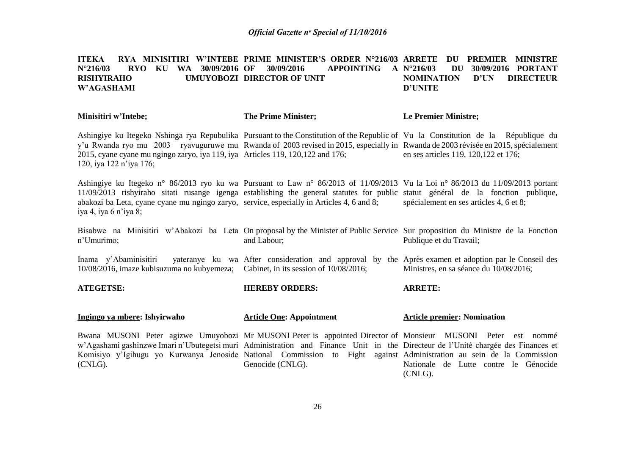#### ITEKA RYA MINISITIRI W'INTEBE PRIME MINISTER'S ORDER N°216/03 ARRETE DU PREMIER MINISTRE **N°216/03 RYO KU WA 30/09/2016 RISHYIRAHO UMUYOBOZI DIRECTOR OF UNIT W'AGASHAMI OF 30/09/2016 APPOINTING A N°216/03 DU 30/09/2016 PORTANT NOMINATION D'UN DIRECTEUR D'UNITE**

| Minisitiri w'Intebe;                                                                                                                                                                                                                                                                                                                                      | <b>The Prime Minister;</b> | <b>Le Premier Ministre;</b>           |
|-----------------------------------------------------------------------------------------------------------------------------------------------------------------------------------------------------------------------------------------------------------------------------------------------------------------------------------------------------------|----------------------------|---------------------------------------|
| Ashingiye ku Itegeko Nshinga rya Repubulika Pursuant to the Constitution of the Republic of Vu la Constitution de la République du<br>y'u Rwanda ryo mu 2003 ryavuguruwe mu Rwanda of 2003 revised in 2015, especially in Rwanda de 2003 révisée en 2015, spécialement<br>2015, cyane cyane mu ngingo zaryo, iya 119, iya Articles 119, 120, 122 and 176; |                            | en ses articles 119, 120, 122 et 176; |
| 120, iya 122 n'iya 176;                                                                                                                                                                                                                                                                                                                                   |                            |                                       |

Ashingiye ku Itegeko n° 86/2013 ryo ku wa Pursuant to Law n° 86/2013 of 11/09/2013 Vu la Loi n° 86/2013 du 11/09/2013 portant 11/09/2013 rishyiraho sitati rusange igenga establishing the general statutes for public statut général de la fonction publique, abakozi ba Leta, cyane cyane mu ngingo zaryo, service, especially in Articles 4, 6 and 8; iya 4, iya 6 n'iya 8; spécialement en ses articles 4, 6 et 8;

Bisabwe na Minisitiri w'Abakozi ba Leta On proposal by the Minister of Public Service Sur proposition du Ministre de la Fonction n'Umurimo; and Labour; Publique et du Travail;

Inama y'Abaminisitiri 10/08/2016, imaze kubisuzuma no kubyemeza; Cabinet, in its session of 10/08/2016; After consideration and approval by the Après examen et adoption par le Conseil des Ministres, en sa séance du 10/08/2016;

**ATEGETSE: Ingingo ya mbere: Ishyirwaho HEREBY ORDERS: Article One: Appointment ARRETE: Article premier: Nomination**

Bwana MUSONI Peter agizwe Umuyobozi Mr MUSONI Peter is appointed Director of Monsieur MUSONI Peter est nommé w'Agashami gashinzwe Imari n'Ubutegetsi muri Administration and Finance Unit in the Directeur de l'Unité chargée des Finances et Komisiyo y'Igihugu yo Kurwanya Jenoside National Commission to Fight against Administration au sein de la Commission (CNLG). Genocide (CNLG). Nationale de Lutte contre le Génocide (CNLG).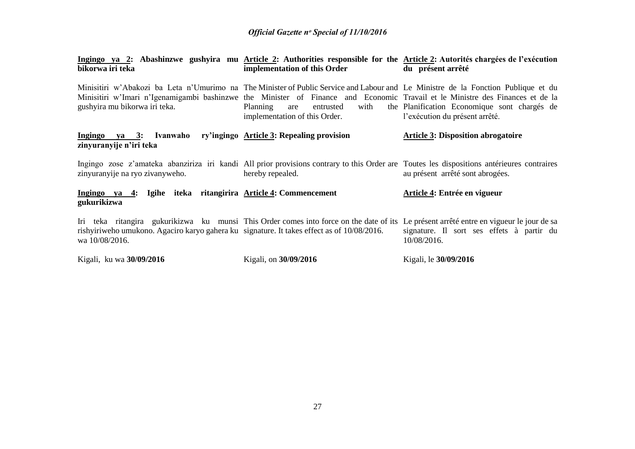| Ingingo ya 2: Abashinzwe gushyira mu Article 2: Authorities responsible for the Article 2: Autorités chargées de l'exécution<br>bikorwa iri teka                                                                                                                                                    | implementation of this Order                                          | du présent arrêté                                                              |
|-----------------------------------------------------------------------------------------------------------------------------------------------------------------------------------------------------------------------------------------------------------------------------------------------------|-----------------------------------------------------------------------|--------------------------------------------------------------------------------|
| Minisitiri w'Abakozi ba Leta n'Umurimo na The Minister of Public Service and Labour and Le Ministre de la Fonction Publique et du<br>Minisitiri w'Imari n'Igenamigambi bashinzwe the Minister of Finance and Economic Travail et le Ministre des Finances et de la<br>gushyira mu bikorwa iri teka. | Planning<br>entrusted<br>with<br>are<br>implementation of this Order. | the Planification Economique sont chargés de<br>l'exécution du présent arrêté. |
| Ingingo ya 3: Ivanwaho ry'ingingo Article 3: Repealing provision<br>zinyuranyije n'iri teka                                                                                                                                                                                                         |                                                                       | <b>Article 3: Disposition abrogatoire</b>                                      |
| Ingingo zose z'amateka abanziriza iri kandi All prior provisions contrary to this Order are Toutes les dispositions antérieures contraires<br>zinyuranyije na ryo zivanyweho.                                                                                                                       | hereby repealed.                                                      | au présent arrêté sont abrogées.                                               |
| Ingingo ya 4: Igihe iteka ritangirira Article 4: Commencement<br>gukurikizwa                                                                                                                                                                                                                        |                                                                       | Article 4: Entrée en vigueur                                                   |
| Iri teka ritangira gukurikizwa ku munsi This Order comes into force on the date of its Le présent arrêté entre en vigueur le jour de sa<br>rishyiriweho umukono. Agaciro karyo gahera ku signature. It takes effect as of 10/08/2016.<br>wa 10/08/2016.                                             |                                                                       | signature. Il sort ses effets à partir du<br>10/08/2016.                       |
| Kigali, ku wa 30/09/2016                                                                                                                                                                                                                                                                            | Kigali, on 30/09/2016                                                 | Kigali, le 30/09/2016                                                          |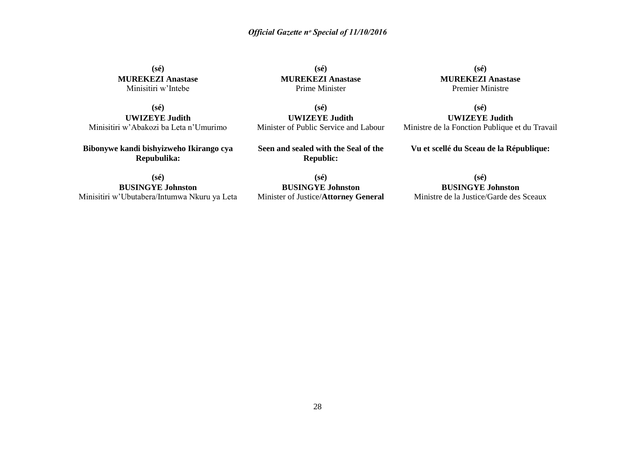**(sé) MUREKEZI Anastase** Minisitiri w'Intebe

**(sé) MUREKEZI Anastase** Prime Minister

**(sé) MUREKEZI Anastase** Premier Ministre

**(sé) UWIZEYE Judith** Ministre de la Fonction Publique et du Travail

**(sé) UWIZEYE Judith** Minisitiri w'Abakozi ba Leta n'Umurimo

**Bibonywe kandi bishyizweho Ikirango cya Repubulika:**

**(sé) UWIZEYE Judith** Minister of Public Service and Labour

**Seen and sealed with the Seal of the Republic:**

**(sé) BUSINGYE Johnston** Minisitiri w'Ubutabera/Intumwa Nkuru ya Leta

**(sé) BUSINGYE Johnston** Minister of Justice/**Attorney General**

**(sé) BUSINGYE Johnston** Ministre de la Justice/Garde des Sceaux

**Vu et scellé du Sceau de la République:**

28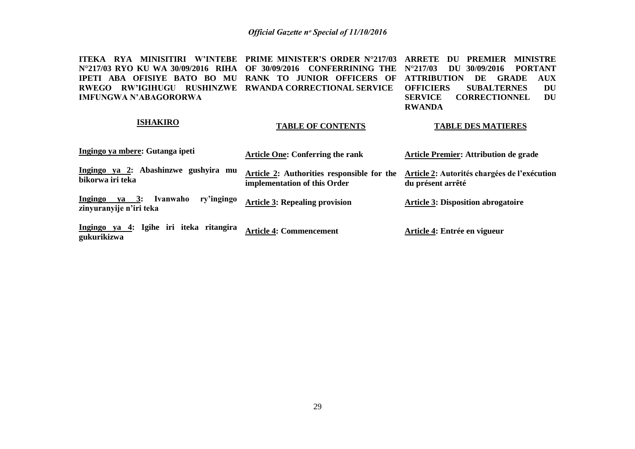**ITEKA RYA MINISITIRI W'INTEBE PRIME MINISTER'S ORDER N°217/03 ARRETE DU PREMIER MINISTRE N°217/03 RYO KU WA 30/09/2016 RIHA OF 30/09/2016 CONFERRINING THE N°217/03 DU 30/09/2016 PORTANT IPETI ABA OFISIYE BATO BO MU RANK TO JUNIOR OFFICERS OF ATTRIBUTION DE GRADE AUX RWEGO RW'IGIHUGU RUSHINZWE RWANDA CORRECTIONAL SERVICE IMFUNGWA N'ABAGORORWA OFFICIERS SUBALTERNES DU CORRECTIONNEL DU RWANDA**

**TABLE OF CONTENTS**

#### **ISHAKIRO**

#### **TABLE DES MATIERES**

| Ingingo ya mbere: Gutanga ipeti                                              | <b>Article One: Conferring the rank</b>                                    | <b>Article Premier: Attribution de grade</b>                      |
|------------------------------------------------------------------------------|----------------------------------------------------------------------------|-------------------------------------------------------------------|
| Ingingo ya 2: Abashinzwe gushyira mu<br>bikorwa iri teka                     | Article 2: Authorities responsible for the<br>implementation of this Order | Article 2: Autorités chargées de l'exécution<br>du présent arrêté |
| ry'ingingo<br>Ivanwaho<br>ya 3:<br><b>Ingingo</b><br>zinyuranyije n'iri teka | <b>Article 3: Repealing provision</b>                                      | <b>Article 3: Disposition abrogatoire</b>                         |
| Ingingo ya 4: Igihe iri iteka ritangira<br>gukurikizwa                       | <b>Article 4: Commencement</b>                                             | Article 4: Entrée en vigueur                                      |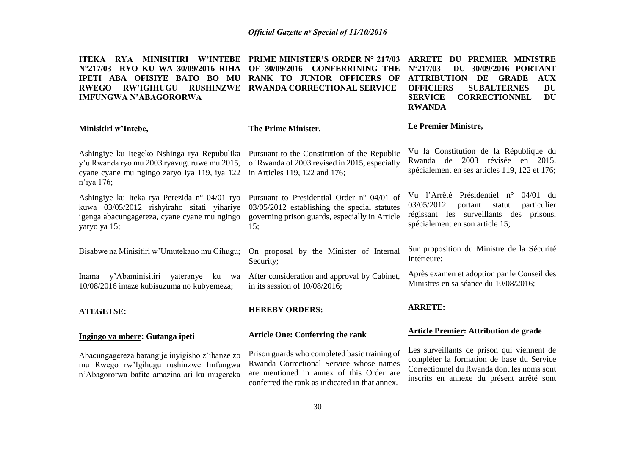**ITEKA RYA MINISITIRI W'INTEBE PRIME MINISTER'S ORDER N° 217/03 ARRETE DU PREMIER MINISTRE N°217/03 RYO KU WA 30/09/2016 RIHA OF 30/09/2016 CONFERRINING THE IPETI ABA OFISIYE BATO BO MU RANK TO JUNIOR OFFICERS OF RWEGO RW'IGIHUGU RUSHINZWE RWANDA CORRECTIONAL SERVICE IMFUNGWA N'ABAGORORWA N°217/03 DU 30/09/2016 PORTANT ATTRIBUTION DE GRADE AUX OFFICIERS SUBALTERNES SERVICE CORRECTIONNEL DU RWANDA**

|                                                                                                                                                            |                                                                                                                                                     | RVARDA                                                                                                                                                                    |
|------------------------------------------------------------------------------------------------------------------------------------------------------------|-----------------------------------------------------------------------------------------------------------------------------------------------------|---------------------------------------------------------------------------------------------------------------------------------------------------------------------------|
| Minisitiri w'Intebe,                                                                                                                                       | The Prime Minister,                                                                                                                                 | Le Premier Ministre,                                                                                                                                                      |
| Ashingiye ku Itegeko Nshinga rya Repubulika<br>y'u Rwanda ryo mu 2003 ryavuguruwe mu 2015,<br>cyane cyane mu ngingo zaryo iya 119, iya 122<br>n'iya 176;   | Pursuant to the Constitution of the Republic<br>of Rwanda of 2003 revised in 2015, especially<br>in Articles 119, 122 and 176;                      | Vu la Constitution de la République du<br>Rwanda de 2003 révisée en 2015,<br>spécialement en ses articles 119, 122 et 176;                                                |
| Ashingiye ku Iteka rya Perezida n° 04/01 ryo<br>kuwa 03/05/2012 rishyiraho sitati yihariye<br>igenga abacungagereza, cyane cyane mu ngingo<br>yaryo ya 15; | Pursuant to Presidential Order nº 04/01 of<br>03/05/2012 establishing the special statutes<br>governing prison guards, especially in Article<br>15: | Vu l'Arrêté Présidentiel n°<br>$04/01$ du<br>03/05/2012<br>particulier<br>portant<br>statut<br>régissant les surveillants des prisons,<br>spécialement en son article 15; |
| Bisabwe na Minisitiri w'Umutekano mu Gihugu;                                                                                                               | On proposal by the Minister of Internal<br>Security;                                                                                                | Sur proposition du Ministre de la Sécurité<br>Intérieure;                                                                                                                 |
| Inama y'Abaminisitiri<br>yateranye ku wa<br>10/08/2016 imaze kubisuzuma no kubyemeza;                                                                      | After consideration and approval by Cabinet,<br>in its session of $10/08/2016$ ;                                                                    | Après examen et adoption par le Conseil des<br>Ministres en sa séance du 10/08/2016;                                                                                      |
| <b>ATEGETSE:</b>                                                                                                                                           | <b>HEREBY ORDERS:</b>                                                                                                                               | <b>ARRETE:</b>                                                                                                                                                            |
| Ingingo ya mbere: Gutanga ipeti                                                                                                                            | <b>Article One: Conferring the rank</b>                                                                                                             | <b>Article Premier: Attribution de grade</b>                                                                                                                              |
| Abacungagereza barangije inyigisho z'ibanze zo<br>mu Rwego rw'Igihugu rushinzwe Imfungwa<br>n'Ahagororwa hafite amazina ari ku mugereka                    | Prison guards who completed basic training of<br>Rwanda Correctional Service whose names<br>are mentioned in annex of this Order are                | Les surveillants de prison qui viennent de<br>compléter la formation de base du Service<br>Correctionnel du Rwanda dont les noms sont                                     |

conferred the rank as indicated in that annex.

inscrits en annexe du présent arrêté sont

n'Abagororwa bafite amazina ari ku mugereka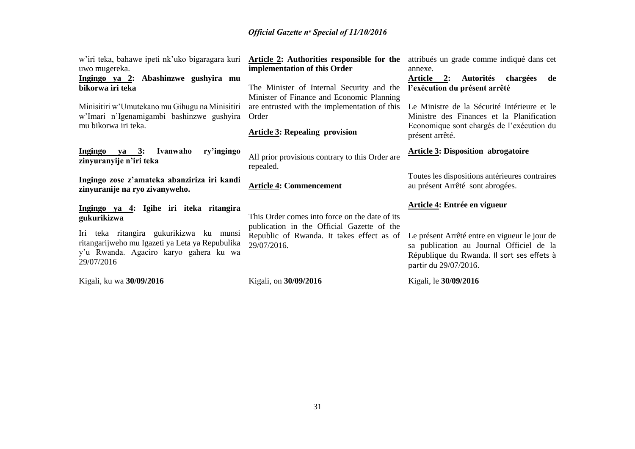| w'iri teka, bahawe ipeti nk'uko bigaragara kuri<br>uwo mugereka.<br>Ingingo ya 2: Abashinzwe gushyira mu<br>bikorwa iri teka<br>Minisitiri w'Umutekano mu Gihugu na Minisitiri<br>w'Imari n'Igenamigambi bashinzwe gushyira<br>mu bikorwa iri teka. | <b>Article 2:</b> Authorities responsible for the attribués un grade comme indiqué dans cet<br>implementation of this Order<br>The Minister of Internal Security and the<br>Minister of Finance and Economic Planning<br>are entrusted with the implementation of this<br>Order<br><b>Article 3: Repealing provision</b> | annexe.<br>Article 2:<br>Autorités chargées<br>de<br>l'exécution du présent arrêté<br>Le Ministre de la Sécurité Intérieure et le<br>Ministre des Finances et la Planification<br>Economique sont chargés de l'exécution du<br>présent arrêté. |
|-----------------------------------------------------------------------------------------------------------------------------------------------------------------------------------------------------------------------------------------------------|--------------------------------------------------------------------------------------------------------------------------------------------------------------------------------------------------------------------------------------------------------------------------------------------------------------------------|------------------------------------------------------------------------------------------------------------------------------------------------------------------------------------------------------------------------------------------------|
| Ingingo ya 3: Ivanwaho<br>ry'ingingo<br>zinyuranyije n'iri teka<br>Ingingo zose z'amateka abanziriza iri kandi<br>zinyuranije na ryo zivanyweho.                                                                                                    | All prior provisions contrary to this Order are<br>repealed.<br><b>Article 4: Commencement</b>                                                                                                                                                                                                                           | <b>Article 3: Disposition abrogatoire</b><br>Toutes les dispositions antérieures contraires<br>au présent Arrêté sont abrogées.                                                                                                                |
| Ingingo ya 4: Igihe iri iteka ritangira<br>gukurikizwa<br>Iri teka ritangira gukurikizwa ku munsi<br>ritangarijweho mu Igazeti ya Leta ya Repubulika<br>y'u Rwanda. Agaciro karyo gahera ku wa<br>29/07/2016                                        | This Order comes into force on the date of its<br>publication in the Official Gazette of the<br>Republic of Rwanda. It takes effect as of<br>29/07/2016.                                                                                                                                                                 | Article 4: Entrée en vigueur<br>Le présent Arrêté entre en vigueur le jour de<br>sa publication au Journal Officiel de la<br>République du Rwanda. Il sort ses effets à<br>partir du 29/07/2016.                                               |
| Kigali, ku wa 30/09/2016                                                                                                                                                                                                                            | Kigali, on 30/09/2016                                                                                                                                                                                                                                                                                                    | Kigali, le 30/09/2016                                                                                                                                                                                                                          |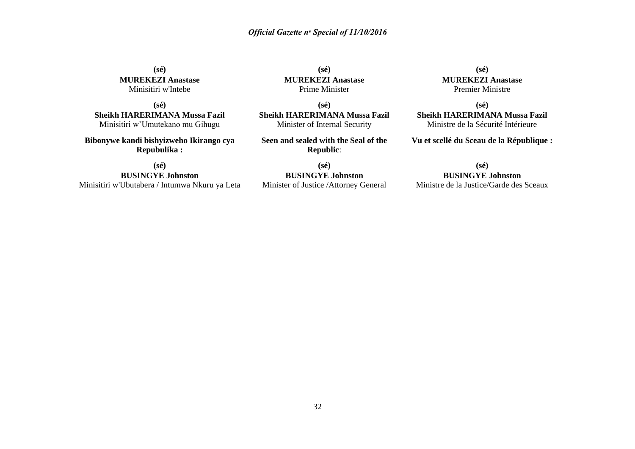**(sé) MUREKEZI Anastase** Minisitiri w'Intebe

**(sé) Sheikh HARERIMANA Mussa Fazil** Minisitiri w'Umutekano mu Gihugu

**Bibonywe kandi bishyizweho Ikirango cya Repubulika :**

**(sé)**

**BUSINGYE Johnston** Minisitiri w'Ubutabera / Intumwa Nkuru ya Leta

**(sé) MUREKEZI Anastase** Prime Minister

**(sé) Sheikh HARERIMANA Mussa Fazil** Minister of Internal Security

**Seen and sealed with the Seal of the Republic**:

**(sé) BUSINGYE Johnston** Minister of Justice /Attorney General

**(sé) MUREKEZI Anastase** Premier Ministre

**(sé) Sheikh HARERIMANA Mussa Fazil** Ministre de la Sécurité Intérieure

**Vu et scellé du Sceau de la République :**

#### **(sé)**

#### **BUSINGYE Johnston**

Ministre de la Justice/Garde des Sceaux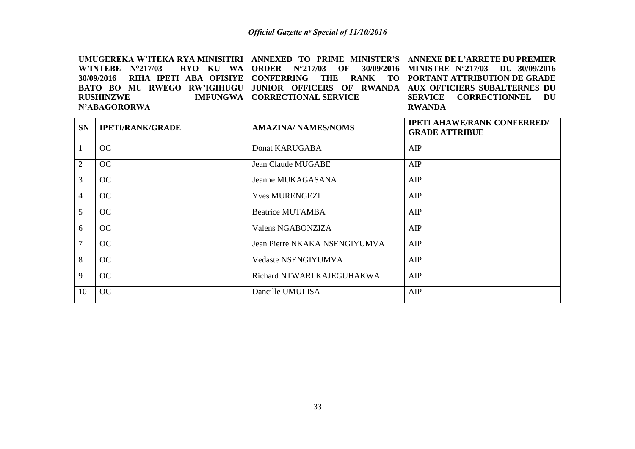UMUGEREKA W'ITEKA RYA MINISITIRI ANNEXED TO PRIME MINISTER'S ANNEXE DE L'ARRETE DU PREMIER **W'INTEBE N°217/03 30/09/2016 RIHA IPETI ABA OFISIYE CONFERRING THE RANK TO PORTANT ATTRIBUTION DE GRADE BATO BO MU RWEGO RW'IGIHUGU JUNIOR OFFICERS OF RWANDA AUX OFFICIERS SUBALTERNES DU RUSHINZWE N'ABAGORORWA ORDER N°217/03 OF 30/09/2016 MINISTRE N°217/03 DU 30/09/2016 IMFUNGWA CORRECTIONAL SERVICE SERVICE CORRECTIONNEL DU RWANDA**

| <b>SN</b>      | <b>IPETI/RANK/GRADE</b> | <b>AMAZINA/ NAMES/NOMS</b>    | <b>IPETI AHAWE/RANK CONFERRED/</b><br><b>GRADE ATTRIBUE</b> |
|----------------|-------------------------|-------------------------------|-------------------------------------------------------------|
|                | OC                      | Donat KARUGABA                | AIP                                                         |
| $\overline{2}$ | OC                      | <b>Jean Claude MUGABE</b>     | AIP                                                         |
| 3              | OC                      | Jeanne MUKAGASANA             | AIP                                                         |
| $\overline{4}$ | OC                      | <b>Yves MURENGEZI</b>         | AIP                                                         |
| $\overline{5}$ | OC                      | <b>Beatrice MUTAMBA</b>       | AIP                                                         |
| 6              | OC                      | Valens NGABONZIZA             | AIP                                                         |
| $\overline{7}$ | OC                      | Jean Pierre NKAKA NSENGIYUMVA | AIP                                                         |
| 8              | OC                      | <b>Vedaste NSENGIYUMVA</b>    | AIP                                                         |
| 9              | OC                      | Richard NTWARI KAJEGUHAKWA    | AIP                                                         |
| 10             | OC                      | Dancille UMULISA              | AIP                                                         |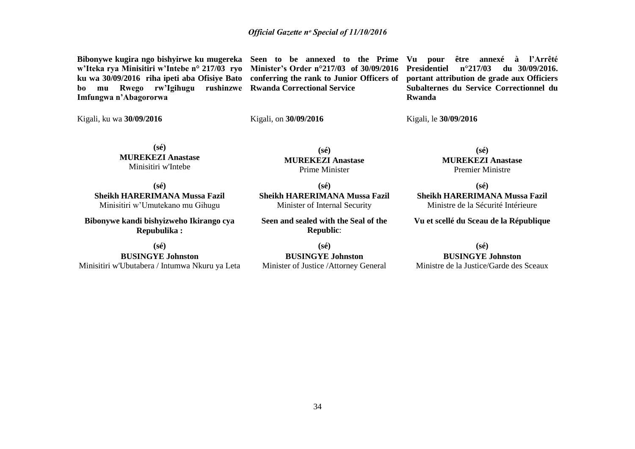**Bibonywe kugira ngo bishyirwe ku mugereka Seen to be annexed to the Prime Vu pour être annexé à l'Arrêté w'Iteka rya Minisitiri w'Intebe n° 217/03 ryo Minister's Order n°217/03 of 30/09/2016 ku wa 30/09/2016 riha ipeti aba Ofisiye Bato conferring the rank to Junior Officers of portant attribution de grade aux Officiers bo mu Rwego rw'Igihugu rushinzwe Rwanda Correctional Service Imfungwa n'Abagororwa**

**Presidentiel n°217/03 du 30/09/2016. Subalternes du Service Correctionnel du Rwanda** 

Kigali, ku wa **30/09/2016**

Kigali, on **30/09/2016**

Kigali, le **30/09/2016**

**(sé) MUREKEZI Anastase** Minisitiri w'Intebe

**(sé) MUREKEZI Anastase** Prime Minister

**(sé) Sheikh HARERIMANA Mussa Fazil** Minisitiri w'Umutekano mu Gihugu

**Bibonywe kandi bishyizweho Ikirango cya Repubulika :**

**(sé)**

**BUSINGYE Johnston** Minisitiri w'Ubutabera / Intumwa Nkuru ya Leta

**(sé) Sheikh HARERIMANA Mussa Fazil** Minister of Internal Security

**Seen and sealed with the Seal of the Republic**:

**(sé) BUSINGYE Johnston** Minister of Justice /Attorney General

**(sé) MUREKEZI Anastase** Premier Ministre

**(sé)**

**Sheikh HARERIMANA Mussa Fazil** Ministre de la Sécurité Intérieure

**Vu et scellé du Sceau de la République**

**(sé)**

**BUSINGYE Johnston**

Ministre de la Justice/Garde des Sceaux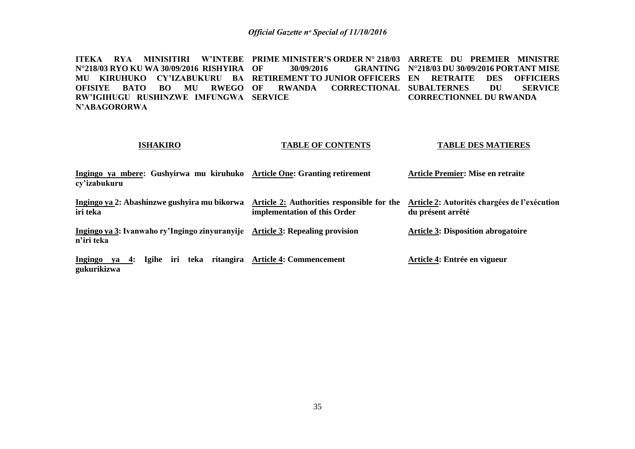**ITEKA RYA MINISITIRI W'INTEBE PRIME MINISTER'S ORDER N° 218/03 ARRETE DU PREMIER MINISTRE N°218/03 RYO KU WA 30/09/2016 RISHYIRA** MU KIRUHUKO CY'IZABUKURU BA RETIREMENT.TOJUNIOR.OFFICERS EN RETRAITE DES OFFICIERS **OFISIYE BATO BO MU RWEGO RW'IGIHUGU RUSHINZWE IMFUNGWA SERVICE N'ABAGORORWA OF 30/09/2016 GRANTING N°218/03 DU 30/09/2016 PORTANT MISE OF RWANDA CORRECTIONAL SUBALTERNES DU SERVICE CORRECTIONNEL DU RWANDA**

#### **ISHAKIRO**

#### **TABLE OF CONTENTS**

#### **TABLE DES MATIERES**

**Ingingo ya mbere: Gushyirwa mu kiruhuko Article One: Granting retirement cy'izabukuru** Ingingo ya 2: Abashinzwe gushyira mu bikorwa Article 2: Authorities responsible for the Article 2: Autorités chargées de l'exécution **Article Premier: Mise en retraite**

**iri teka implementation of this Order du présent arrêté**

**Ingingo ya 3: Ivanwaho ry'Ingingo zinyuranyije Article 3: Repealing provision n'iri teka Article 3: Disposition abrogatoire** 

**Ingingo ya 4: Igihe iri teka ritangira Article 4: Commencement gukurikizwa Article 4: Entrée en vigueur**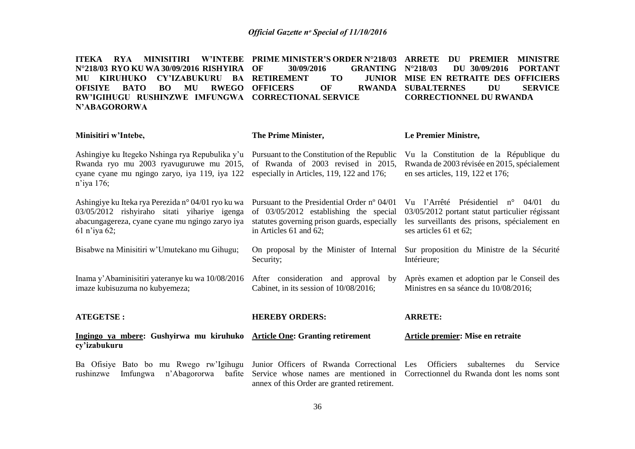**ITEKA RYA MINISITIRI W'INTEBE PRIME MINISTER'S ORDER N°218/03 ARRETE DU PREMIER MINISTRE N°218/03 RYO KU WA 30/09/2016 RISHYIRA MU KIRUHUKO CY'IZABUKURU BA RETIREMENT TO JUNIOR OFISIYE BATO BO MU RWEGO OFFICERS OF RWANDA RW'IGIHUGU RUSHINZWE IMFUNGWA CORRECTIONAL SERVICE N'ABAGORORWA OF 30/09/2016** GRANTING N°218/03<br>**CENT TO JUNIOR MISE EN N°218/03 DU 30/09/2016 PORTANT JUNIOR MISE EN RETRAITE DES OFFICIERS<br>
SUBALTERNES DU SERVICE RWANDA SUBALTERNES CORRECTIONNEL DU RWANDA**

| Minisitiri w'Intebe,                                                                                                                                                       | The Prime Minister,                                                                                                                                             | Le Premier Ministre,                                                                                                                                                     |
|----------------------------------------------------------------------------------------------------------------------------------------------------------------------------|-----------------------------------------------------------------------------------------------------------------------------------------------------------------|--------------------------------------------------------------------------------------------------------------------------------------------------------------------------|
| Ashingiye ku Itegeko Nshinga rya Repubulika y'u<br>Rwanda ryo mu 2003 ryavuguruwe mu 2015,<br>cyane cyane mu ngingo zaryo, iya 119, iya 122<br>$n$ 'iya 176;               | Pursuant to the Constitution of the Republic<br>of Rwanda of 2003 revised in 2015,<br>especially in Articles, 119, 122 and 176;                                 | Vu la Constitution de la République du<br>Rwanda de 2003 révisée en 2015, spécialement<br>en ses articles, 119, 122 et 176;                                              |
| Ashingiye ku Iteka rya Perezida n° 04/01 ryo ku wa<br>03/05/2012 rishyiraho sitati yihariye igenga<br>abacungagereza, cyane cyane mu ngingo zaryo iya<br>$61$ n'iya $62$ ; | Pursuant to the Presidential Order n° 04/01<br>of 03/05/2012 establishing the special<br>statutes governing prison guards, especially<br>in Articles 61 and 62; | Vu l'Arrêté Présidentiel n°<br>04/01<br>du<br>03/05/2012 portant statut particulier régissant<br>les surveillants des prisons, spécialement en<br>ses articles 61 et 62; |
| Bisabwe na Minisitiri w'Umutekano mu Gihugu;                                                                                                                               | On proposal by the Minister of Internal<br>Security;                                                                                                            | Sur proposition du Ministre de la Sécurité<br>Intérieure;                                                                                                                |
| Inama y'Abaminisitiri yateranye ku wa 10/08/2016<br>imaze kubisuzuma no kubyemeza;                                                                                         | After consideration and approval<br>by<br>Cabinet, in its session of 10/08/2016;                                                                                | Après examen et adoption par le Conseil des<br>Ministres en sa séance du 10/08/2016;                                                                                     |
| <b>ATEGETSE:</b>                                                                                                                                                           | <b>HEREBY ORDERS:</b>                                                                                                                                           | <b>ARRETE:</b>                                                                                                                                                           |
| Ingingo ya mbere: Gushyirwa mu kiruhuko Article One: Granting retirement<br>cy'izabukuru                                                                                   |                                                                                                                                                                 | <b>Article premier: Mise en retraite</b>                                                                                                                                 |
| Ba Ofisiye Bato bo mu Rwego rw'lgihugu<br>rushinzwe<br>n'Abagororwa<br>Imfungwa<br>bafite                                                                                  | Junior Officers of Rwanda Correctional Les<br>annex of this Order are granted retirement.                                                                       | <b>Officiers</b><br>subalternes<br>Service<br>du<br>Service whose names are mentioned in Correctionnel du Rwanda dont les noms sont                                      |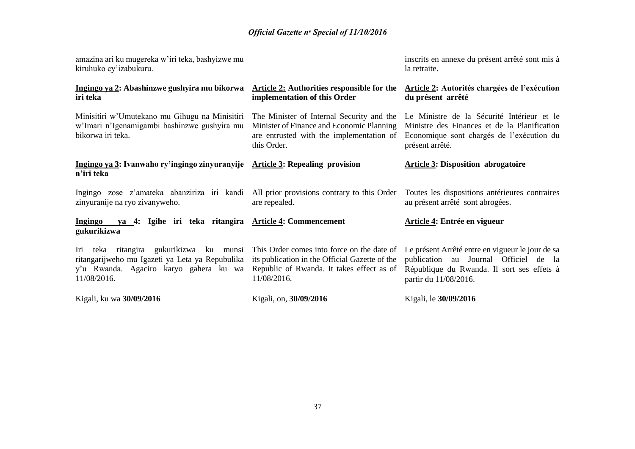| amazina ari ku mugereka w'iri teka, bashyizwe mu<br>kiruhuko cy'izabukuru.                                                                                |                                                                                                                                                          | inscrits en annexe du présent arrêté sont mis à<br>la retraite.                                                                                                  |
|-----------------------------------------------------------------------------------------------------------------------------------------------------------|----------------------------------------------------------------------------------------------------------------------------------------------------------|------------------------------------------------------------------------------------------------------------------------------------------------------------------|
| Ingingo ya 2: Abashinzwe gushyira mu bikorwa<br>iri teka                                                                                                  | Article 2: Authorities responsible for the<br>implementation of this Order                                                                               | Article 2: Autorités chargées de l'exécution<br>du présent arrêté                                                                                                |
| Minisitiri w'Umutekano mu Gihugu na Minisitiri<br>w'Imari n'Igenamigambi bashinzwe gushyira mu<br>bikorwa iri teka.                                       | The Minister of Internal Security and the<br>Minister of Finance and Economic Planning<br>are entrusted with the implementation of<br>this Order.        | Le Ministre de la Sécurité Intérieur et le<br>Ministre des Finances et de la Planification<br>Economique sont chargés de l'exécution du<br>présent arrêté.       |
| Ingingo ya 3: Ivanwaho ry'ingingo zinyuranyije Article 3: Repealing provision<br>n'iri teka                                                               |                                                                                                                                                          | <b>Article 3: Disposition abrogatoire</b>                                                                                                                        |
| Ingingo zose z'amateka abanziriza iri kandi All prior provisions contrary to this Order<br>zinyuranije na ryo zivanyweho.                                 | are repealed.                                                                                                                                            | Toutes les dispositions antérieures contraires<br>au présent arrêté sont abrogées.                                                                               |
| ya 4: Igihe iri teka ritangira Article 4: Commencement<br><b>Ingingo</b><br>gukurikizwa                                                                   |                                                                                                                                                          | Article 4: Entrée en vigueur                                                                                                                                     |
| teka ritangira gukurikizwa ku<br>Iri<br>munsi<br>ritangarijweho mu Igazeti ya Leta ya Repubulika<br>y'u Rwanda. Agaciro karyo gahera ku wa<br>11/08/2016. | This Order comes into force on the date of<br>its publication in the Official Gazette of the<br>Republic of Rwanda. It takes effect as of<br>11/08/2016. | Le présent Arrêté entre en vigueur le jour de sa<br>publication au Journal Officiel de la<br>République du Rwanda. Il sort ses effets à<br>partir du 11/08/2016. |
| Kigali, ku wa 30/09/2016                                                                                                                                  | Kigali, on, 30/09/2016                                                                                                                                   | Kigali, le 30/09/2016                                                                                                                                            |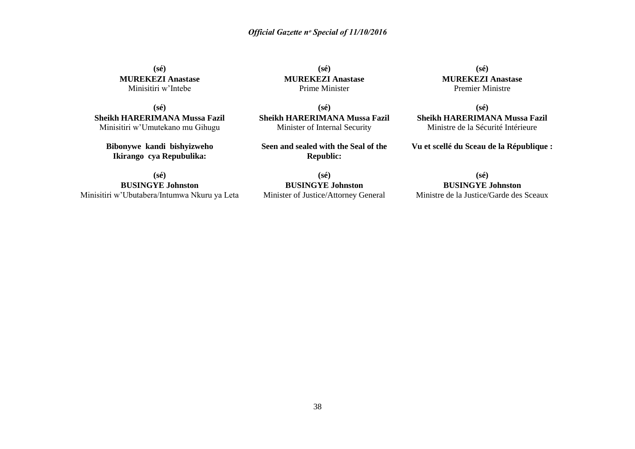**(sé) MUREKEZI Anastase** Minisitiri w'Intebe

**(sé) Sheikh HARERIMANA Mussa Fazil** Minisitiri w'Umutekano mu Gihugu

**Bibonywe kandi bishyizweho Ikirango cya Repubulika:**

**(sé) BUSINGYE Johnston** Minisitiri w'Ubutabera/Intumwa Nkuru ya Leta

**(sé) MUREKEZI Anastase** Prime Minister

**(sé) Sheikh HARERIMANA Mussa Fazil** Minister of Internal Security

**Seen and sealed with the Seal of the Republic:**

**(sé) BUSINGYE Johnston** Minister of Justice/Attorney General

**(sé) MUREKEZI Anastase** Premier Ministre

**(sé) Sheikh HARERIMANA Mussa Fazil** Ministre de la Sécurité Intérieure

**Vu et scellé du Sceau de la République :**

**(sé)**

**BUSINGYE Johnston** Ministre de la Justice/Garde des Sceaux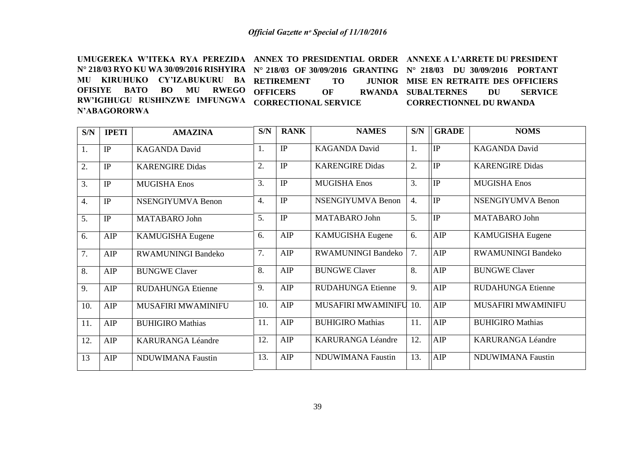UMUGEREKA W'ITEKA RYA PEREZIDA ANNEX TO PRESIDENTIAL ORDER ANNEXE A L'ARRETE DU PRESIDENT **N° 218/03 RYO KU WA 30/09/2016 RISHYIRA N° 218/03 OF 30/09/2016 GRANTING N° 218/03 DU 30/09/2016 PORTANT MU KIRUHUKO CY'IZABUKURU BA RETIREMENT TO JUNIOR OFISIYE BATO BO MU RWEGO RW'IGIHUGU RUSHINZWE IMFUNGWA N'ABAGORORWA OFFICERS OF RWANDA CORRECTIONAL SERVICE JUNIOR MISE EN RETRAITE DES OFFICIERS RWANDA SUBALTERNES DU SERVICE CORRECTIONNEL DU RWANDA** 

| S/N              | <b>IPETI</b> | <b>AMAZINA</b>            | S/N              | <b>RANK</b> | <b>NAMES</b>              | S/N              | <b>GRADE</b>    | <b>NOMS</b>               |
|------------------|--------------|---------------------------|------------------|-------------|---------------------------|------------------|-----------------|---------------------------|
| 1.               | IP           | <b>KAGANDA David</b>      | 1.               | IP          | <b>KAGANDA David</b>      | 1.               | IP              | <b>KAGANDA David</b>      |
| 2.               | IP           | <b>KARENGIRE Didas</b>    | 2.               | IP          | <b>KARENGIRE Didas</b>    | 2.               | IP              | <b>KARENGIRE Didas</b>    |
| 3.               | IP           | <b>MUGISHA Enos</b>       | 3.               | IP          | <b>MUGISHA Enos</b>       | 3.               | IP              | <b>MUGISHA Enos</b>       |
| $\overline{4}$ . | IP           | <b>NSENGIYUMVA Benon</b>  | $\overline{4}$ . | IP          | <b>NSENGIYUMVA Benon</b>  | $\overline{4}$ . | IP              | <b>NSENGIYUMVA Benon</b>  |
| 5.               | IP           | MATABARO John             | 5.               | IP          | MATABARO John             | 5.               | <sup>I</sup> IP | MATABARO John             |
| 6.               | AIP          | <b>KAMUGISHA Eugene</b>   | 6.               | AIP         | <b>KAMUGISHA Eugene</b>   | 6.               | AIP             | <b>KAMUGISHA Eugene</b>   |
| $\overline{7}$ . | AIP          | <b>RWAMUNINGI Bandeko</b> | 7.               | AIP         | <b>RWAMUNINGI Bandeko</b> | 7.               | AIP             | <b>RWAMUNINGI Bandeko</b> |
| 8.               | AIP          | <b>BUNGWE Claver</b>      | 8.               | AIP         | <b>BUNGWE Claver</b>      | 8.               | AIP             | <b>BUNGWE Claver</b>      |
| 9.               | AIP          | <b>RUDAHUNGA Etienne</b>  | 9.               | AIP         | <b>RUDAHUNGA Etienne</b>  | 9.               | AIP             | <b>RUDAHUNGA Etienne</b>  |
| 10.              | AIP          | MUSAFIRI MWAMINIFU        | 10.              | AIP         | MUSAFIRI MWAMINIFU        | 10.              | AIP             | MUSAFIRI MWAMINIFU        |
| 11.              | AIP          | <b>BUHIGIRO Mathias</b>   | 11.              | AIP         | <b>BUHIGIRO Mathias</b>   | 11.              | AIP             | <b>BUHIGIRO Mathias</b>   |
| 12.              | AIP          | <b>KARURANGA Léandre</b>  | 12.              | AIP         | <b>KARURANGA Léandre</b>  | 12.              | AIP             | <b>KARURANGA Léandre</b>  |
| 13               | AIP          | <b>NDUWIMANA Faustin</b>  | 13.              | AIP         | <b>NDUWIMANA Faustin</b>  | 13.              | AIP             | <b>NDUWIMANA Faustin</b>  |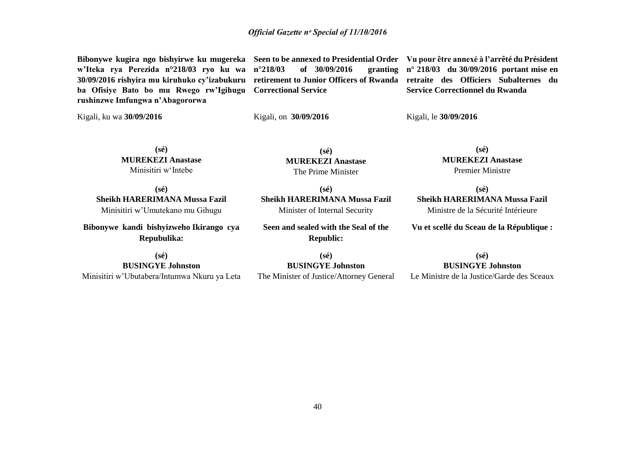**w'Iteka rya Perezida n°218/03 ryo ku wa 30/09/2016 rishyira mu kiruhuko cy'izabukuru retirement to Junior Officers of Rwanda retraite des Officiers Subalternes du ba Ofisiye Bato bo mu Rwego rw'Igihugu Correctional Service rushinzwe Imfungwa n'Abagororwa**

**of** 30/09/2016

**(sé) MUREKEZI Anastase** The Prime Minister

**(sé) Sheikh HARERIMANA Mussa Fazil** Minister of Internal Security

**Seen and sealed with the Seal of the** 

Kigali, on **30/09/2016**

**Bibonywe kugira ngo bishyirwe ku mugereka Seen to be annexed to Presidential Order Vu pour être annexé à l'arrêté du Président n° 218/03 du 30/09/2016 portant mise en Service Correctionnel du Rwanda** 

Kigali, le **30/09/2016**

Kigali, ku wa **30/09/2016**

**(sé) MUREKEZI Anastase**

Minisitiri w'Intebe

**(sé) Sheikh HARERIMANA Mussa Fazil** Minisitiri w'Umutekano mu Gihugu

**Bibonywe kandi bishyizweho Ikirango cya Repubulika:**

**Republic: (sé)**

**BUSINGYE Johnston** Minisitiri w'Ubutabera/Intumwa Nkuru ya Leta

**(sé)**

**BUSINGYE Johnston** The Minister of Justice/Attorney General

**(sé) Sheikh HARERIMANA Mussa Fazil** Ministre de la Sécurité Intérieure

**(sé) MUREKEZI Anastase** Premier Ministre

**Vu et scellé du Sceau de la République :**

**(sé) BUSINGYE Johnston**

Le Ministre de la Justice/Garde des Sceaux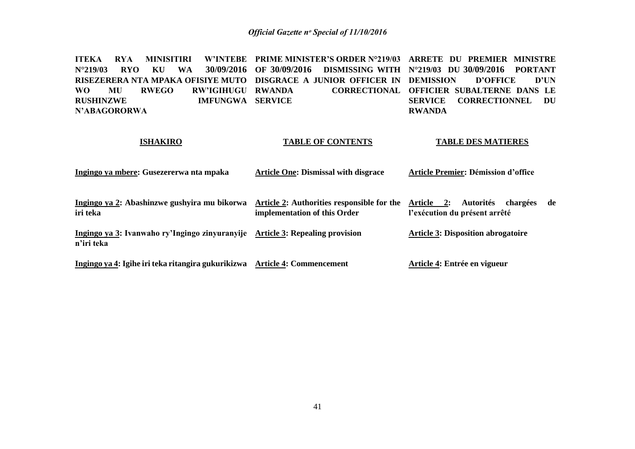**ITEKA RYA MINISITIRI N°219/03 RYO KU WA 30/09/2016 RISEZERERA NTA MPAKA OFISIYE MUTO DISGRACE A JUNIOR OFFICER IN DEMISSION D'OFFICE D'UN WO MU RWEGO RW'IGIHUGU RUSHINZWE IMFUNGWA SERVICE N'ABAGORORWA PRIME MINISTER'S ORDER N°219/03 ARRETE DU PREMIER MINISTRE OF 30/09/2016 DISMISSING WITH N°219/03 DU 30/09/2016 PORTANT RWANDA CORRECTIONAL OFFICIER SUBALTERNE DANS LE SERVICE CORRECTIONNEL DU RWANDA** 

#### **ISHAKIRO**

#### **TABLE OF CONTENTS**

#### **TABLE DES MATIERES**

| Ingingo ya mbere: Gusezererwa nta mpaka | <b>Article One: Dismissal with disgrace</b> | Article Premier: Démission d'office |
|-----------------------------------------|---------------------------------------------|-------------------------------------|
|-----------------------------------------|---------------------------------------------|-------------------------------------|

| Ingingo ya 2: Abashinzwe gushyira mu bikorwa Article 2: Authorities responsible for the Article 2: Autorités chargées de |                              |                               |  |
|--------------------------------------------------------------------------------------------------------------------------|------------------------------|-------------------------------|--|
| iri teka                                                                                                                 | implementation of this Order | l'exécution du présent arrêté |  |

**Ingingo ya 3: Ivanwaho ry'Ingingo zinyuranyije Article 3: Repealing provision n'iri teka Article 3: Disposition abrogatoire** 

**Ingingo ya 4: Igihe iri teka ritangira gukurikizwa Article 4: Commencement Article 4: Entrée en vigueur**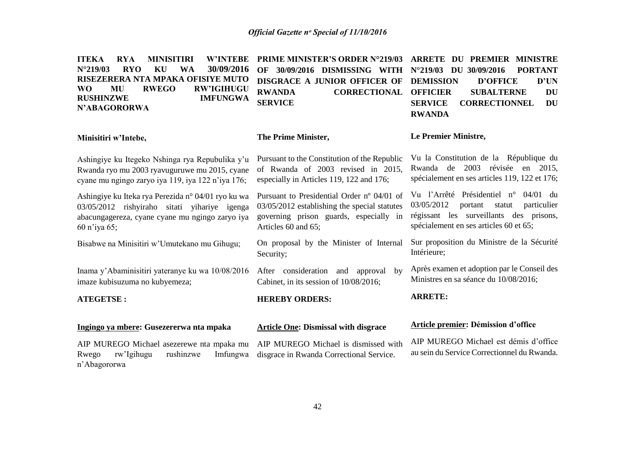| <b>ITEKA</b><br><b>RYA</b><br><b>W'INTEBE</b><br><b>MINISITIRI</b><br>30/09/2016<br>$N^{\circ}219/03$<br><b>RYO</b><br>WA<br>KU<br>RISEZERERA NTA MPAKA OFISIYE MUTO<br><b>RWEGO</b><br><b>RW'IGIHUGU</b><br><b>WO</b><br>MU<br><b>RUSHINZWE</b><br><b>IMFUNGWA</b><br>N'ABAGORORWA | <b>PRIME MINISTER'S ORDER N°219/03</b><br>OF 30/09/2016 DISMISSING WITH<br><b>DISGRACE A JUNIOR OFFICER OF</b><br><b>RWANDA</b><br><b>CORRECTIONAL</b><br><b>SERVICE</b> | <b>ARRETE DU</b><br><b>PREMIER MINISTRE</b><br>N°219/03 DU 30/09/2016<br><b>PORTANT</b><br><b>DEMISSION</b><br><b>D'OFFICE</b><br>D'UN<br><b>OFFICIER</b><br><b>SUBALTERNE</b><br><b>DU</b><br><b>SERVICE</b><br><b>CORRECTIONNEL</b><br><b>DU</b><br><b>RWANDA</b> |
|-------------------------------------------------------------------------------------------------------------------------------------------------------------------------------------------------------------------------------------------------------------------------------------|--------------------------------------------------------------------------------------------------------------------------------------------------------------------------|---------------------------------------------------------------------------------------------------------------------------------------------------------------------------------------------------------------------------------------------------------------------|
| Minisitiri w'Intebe,                                                                                                                                                                                                                                                                | The Prime Minister,                                                                                                                                                      | Le Premier Ministre,                                                                                                                                                                                                                                                |
| Ashingiye ku Itegeko Nshinga rya Repubulika y'u<br>Rwanda ryo mu 2003 ryavuguruwe mu 2015, cyane<br>cyane mu ngingo zaryo iya 119, iya 122 n'iya 176;                                                                                                                               | Pursuant to the Constitution of the Republic<br>of Rwanda of 2003 revised in 2015,<br>especially in Articles 119, 122 and 176;                                           | Vu la Constitution de la République du<br>Rwanda de 2003 révisée en 2015,<br>spécialement en ses articles 119, 122 et 176;                                                                                                                                          |
| Ashingiye ku Iteka rya Perezida n° 04/01 ryo ku wa<br>03/05/2012 rishyiraho sitati yihariye igenga<br>abacungagereza, cyane cyane mu ngingo zaryo iya<br>60 n'iya 65;                                                                                                               | Pursuant to Presidential Order nº 04/01 of<br>03/05/2012 establishing the special statutes<br>governing prison guards, especially in<br>Articles 60 and 65;              | Vu l'Arrêté Présidentiel n° 04/01 du<br>03/05/2012<br>portant<br>statut<br>particulier<br>régissant les surveillants des prisons,<br>spécialement en ses articles 60 et 65;                                                                                         |
| Bisabwe na Minisitiri w'Umutekano mu Gihugu;                                                                                                                                                                                                                                        | On proposal by the Minister of Internal<br>Security;                                                                                                                     | Sur proposition du Ministre de la Sécurité<br>Intérieure;                                                                                                                                                                                                           |
| Inama y'Abaminisitiri yateranye ku wa 10/08/2016<br>imaze kubisuzuma no kubyemeza;                                                                                                                                                                                                  | After consideration and approval<br>by<br>Cabinet, in its session of 10/08/2016;                                                                                         | Après examen et adoption par le Conseil des<br>Ministres en sa séance du 10/08/2016;                                                                                                                                                                                |
| <b>ATEGETSE:</b>                                                                                                                                                                                                                                                                    | <b>HEREBY ORDERS:</b>                                                                                                                                                    | <b>ARRETE:</b>                                                                                                                                                                                                                                                      |
| Ingingo ya mbere: Gusezererwa nta mpaka                                                                                                                                                                                                                                             | <b>Article One: Dismissal with disgrace</b>                                                                                                                              | Article premier: Démission d'office                                                                                                                                                                                                                                 |
| AIP MUREGO Michael asezerewe nta mpaka mu<br>rw'Igihugu<br>rushinzwe<br>Imfungwa<br>Rwego<br>n'Abagororwa                                                                                                                                                                           | AIP MUREGO Michael is dismissed with<br>disgrace in Rwanda Correctional Service.                                                                                         | AIP MUREGO Michael est démis d'office<br>au sein du Service Correctionnel du Rwanda.                                                                                                                                                                                |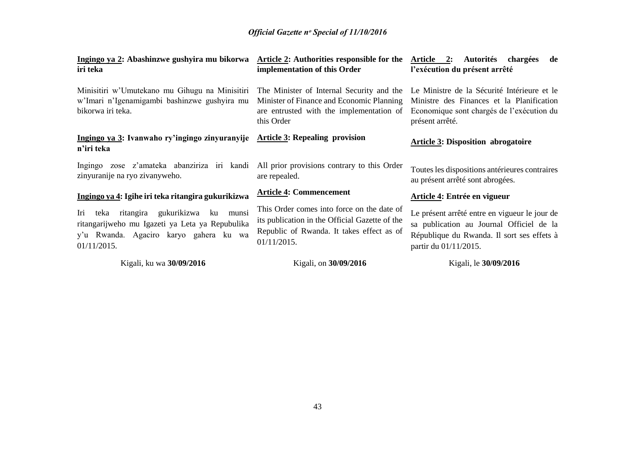| Ingingo ya 2: Abashinzwe gushyira mu bikorwa<br>iri teka                                                                                            | Article 2: Authorities responsible for the<br>implementation of this Order                                                                               | Article 2: Autorités<br>chargées<br>de<br>l'exécution du présent arrêté                                                                                                                            |
|-----------------------------------------------------------------------------------------------------------------------------------------------------|----------------------------------------------------------------------------------------------------------------------------------------------------------|----------------------------------------------------------------------------------------------------------------------------------------------------------------------------------------------------|
| Minisitiri w'Umutekano mu Gihugu na Minisitiri<br>w'Imari n'Igenamigambi bashinzwe gushyira mu<br>bikorwa iri teka.                                 | Minister of Finance and Economic Planning<br>are entrusted with the implementation of<br>this Order                                                      | The Minister of Internal Security and the Le Ministre de la Sécurité Intérieure et le<br>Ministre des Finances et la Planification<br>Economique sont chargés de l'exécution du<br>présent arrêté. |
| Ingingo ya 3: Ivanwaho ry'ingingo zinyuranyije Article 3: Repealing provision<br>n'iri teka                                                         |                                                                                                                                                          | <b>Article 3: Disposition abrogatoire</b>                                                                                                                                                          |
| Ingingo zose z'amateka abanziriza iri kandi All prior provisions contrary to this Order<br>zinyuranije na ryo zivanyweho.                           | are repealed.                                                                                                                                            | Toutes les dispositions antérieures contraires<br>au présent arrêté sont abrogées.                                                                                                                 |
| Ingingo ya 4: Igihe iri teka ritangira gukurikizwa                                                                                                  | <b>Article 4: Commencement</b>                                                                                                                           | Article 4: Entrée en vigueur                                                                                                                                                                       |
| Iri teka ritangira gukurikizwa ku munsi<br>ritangarijweho mu Igazeti ya Leta ya Repubulika<br>y'u Rwanda. Agaciro karyo gahera ku wa<br>01/11/2015. | This Order comes into force on the date of<br>its publication in the Official Gazette of the<br>Republic of Rwanda. It takes effect as of<br>01/11/2015. | Le présent arrêté entre en vigueur le jour de<br>sa publication au Journal Officiel de la<br>République du Rwanda. Il sort ses effets à<br>partir du 01/11/2015.                                   |
| Kigali, ku wa 30/09/2016                                                                                                                            | Kigali, on 30/09/2016                                                                                                                                    | Kigali, le 30/09/2016                                                                                                                                                                              |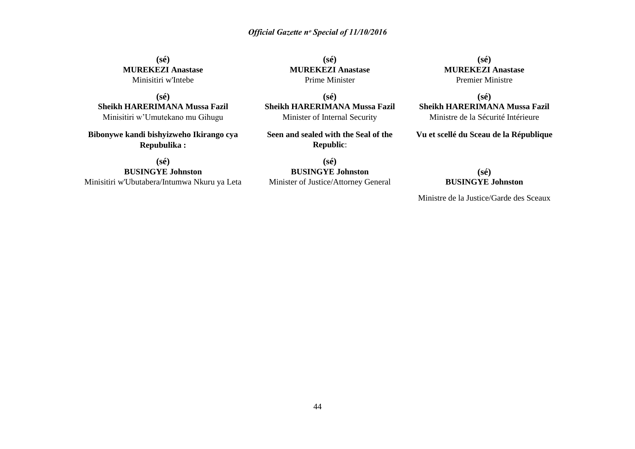**(sé) MUREKEZI Anastase** Minisitiri w'Intebe

**(sé) Sheikh HARERIMANA Mussa Fazil** Minisitiri w'Umutekano mu Gihugu

**Bibonywe kandi bishyizweho Ikirango cya Repubulika :**

**(sé) BUSINGYE Johnston** Minisitiri w'Ubutabera/Intumwa Nkuru ya Leta

**(sé) MUREKEZI Anastase** Prime Minister

**(sé) Sheikh HARERIMANA Mussa Fazil** Minister of Internal Security

**Seen and sealed with the Seal of the Republic**:

**(sé) BUSINGYE Johnston** Minister of Justice/Attorney General

**(sé) MUREKEZI Anastase** Premier Ministre

**(sé) Sheikh HARERIMANA Mussa Fazil** Ministre de la Sécurité Intérieure

**Vu et scellé du Sceau de la République**

#### **(sé) BUSINGYE Johnston**

Ministre de la Justice/Garde des Sceaux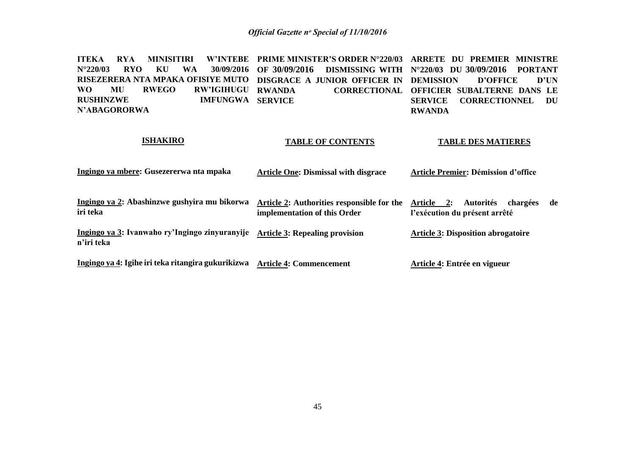**ITEKA RYA MINISITIRI W'INTEBE PRIME MINISTER'S ORDER N°220/03 ARRETE DU PREMIER MINISTRE N°220/03 RYO KU WA RISEZERERA NTA MPAKA OFISIYE MUTO DISGRACE A JUNIOR OFFICER IN DEMISSION D'OFFICE D'UN WO MU RWEGO RW'IGIHUGU RUSHINZWE IMFUNGWA SERVICE N'ABAGORORWA OF 30/09/2016 DISMISSING WITH N°220/03 DU 30/09/2016 PORTANT RWANDA CORRECTIONAL OFFICIER SUBALTERNE DANS LE SERVICE CORRECTIONNEL DU RWANDA** 

#### **ISHAKIRO**

#### **TABLE OF CONTENTS**

#### **TABLE DES MATIERES**

| Ingingo ya mbere: Gusezererwa nta mpaka | <b>Article One: Dismissal with disgrace</b> | Article Premier: Démission d'office |
|-----------------------------------------|---------------------------------------------|-------------------------------------|
|-----------------------------------------|---------------------------------------------|-------------------------------------|

| Ingingo ya 2: Abashinzwe gushyira mu bikorwa   | Article 2: Authorities responsible for the Article 2: Autorités | chargées                                  | de |
|------------------------------------------------|-----------------------------------------------------------------|-------------------------------------------|----|
| iri teka                                       | implementation of this Order                                    | l'exécution du présent arrêté             |    |
| Ingingo ya 3: Ivanwaho ry'Ingingo zinyuranyije | <b>Article 3: Repealing provision</b>                           | <b>Article 3: Disposition abrogatoire</b> |    |

**n'iri teka** 

**Ingingo ya 4: Igihe iri teka ritangira gukurikizwa Article 4: Commencement Article 4: Entrée en vigueur**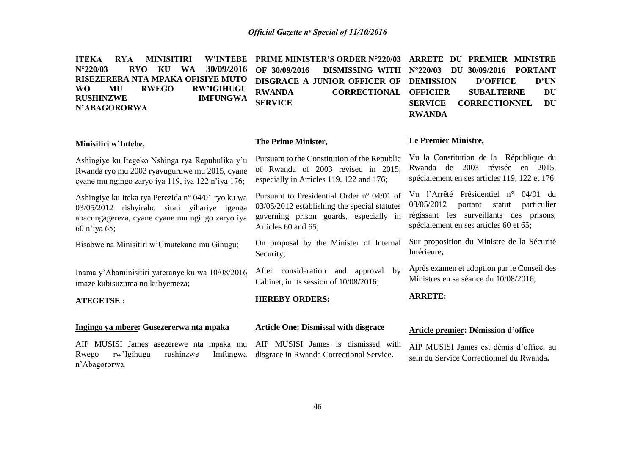| <b>W'INTEBE</b><br><b>ITEKA</b><br><b>RYA</b><br><b>MINISITIRI</b><br>30/09/2016<br>$N^{\circ}220/03$<br><b>RYO</b><br>KU<br><b>WA</b><br>RISEZERERA NTA MPAKA OFISIYE MUTO<br><b>RWEGO</b><br><b>RW'IGIHUGU</b><br><b>WO</b><br>MU<br><b>RUSHINZWE</b><br><b>IMFUNGWA</b><br>N'ABAGORORWA | PRIME MINISTER'S ORDER N°220/03<br>OF 30/09/2016<br><b>DISMISSING WITH</b><br><b>DISGRACE A JUNIOR OFFICER OF</b><br><b>RWANDA</b><br><b>CORRECTIONAL</b><br><b>SERVICE</b> | <b>ARRETE</b><br>DU PREMIER MINISTRE<br><b>PORTANT</b><br>$N^{\circ}220/03$<br>DU 30/09/2016<br>D'UN<br><b>DEMISSION</b><br><b>D'OFFICE</b><br><b>OFFICIER</b><br><b>SUBALTERNE</b><br><b>DU</b><br><b>CORRECTIONNEL</b><br><b>SERVICE</b><br><b>DU</b><br><b>RWANDA</b> |
|--------------------------------------------------------------------------------------------------------------------------------------------------------------------------------------------------------------------------------------------------------------------------------------------|-----------------------------------------------------------------------------------------------------------------------------------------------------------------------------|--------------------------------------------------------------------------------------------------------------------------------------------------------------------------------------------------------------------------------------------------------------------------|
| Minisitiri w'Intebe,                                                                                                                                                                                                                                                                       | The Prime Minister,                                                                                                                                                         | Le Premier Ministre,                                                                                                                                                                                                                                                     |
| Ashingiye ku Itegeko Nshinga rya Repubulika y'u<br>Rwanda ryo mu 2003 ryavuguruwe mu 2015, cyane<br>cyane mu ngingo zaryo iya 119, iya 122 n'iya 176;                                                                                                                                      | Pursuant to the Constitution of the Republic<br>of Rwanda of 2003 revised in 2015,<br>especially in Articles 119, 122 and 176;                                              | Vu la Constitution de la République du<br>Rwanda de 2003 révisée en 2015,<br>spécialement en ses articles 119, 122 et 176;                                                                                                                                               |
| Ashingiye ku Iteka rya Perezida n° 04/01 ryo ku wa<br>03/05/2012 rishyiraho sitati yihariye igenga<br>abacungagereza, cyane cyane mu ngingo zaryo iya<br>60 n'iya 65;                                                                                                                      | Pursuant to Presidential Order nº 04/01 of<br>03/05/2012 establishing the special statutes<br>governing prison guards, especially in<br>Articles 60 and 65;                 | Vu l'Arrêté Présidentiel n° 04/01 du<br>03/05/2012<br>portant<br>statut<br>particulier<br>régissant les surveillants des prisons,<br>spécialement en ses articles 60 et 65;                                                                                              |
| Bisabwe na Minisitiri w'Umutekano mu Gihugu;                                                                                                                                                                                                                                               | On proposal by the Minister of Internal<br>Security;                                                                                                                        | Sur proposition du Ministre de la Sécurité<br>Intérieure;                                                                                                                                                                                                                |
| Inama y'Abaminisitiri yateranye ku wa 10/08/2016<br>imaze kubisuzuma no kubyemeza;                                                                                                                                                                                                         | After consideration and approval<br>by<br>Cabinet, in its session of 10/08/2016;                                                                                            | Après examen et adoption par le Conseil des<br>Ministres en sa séance du 10/08/2016;                                                                                                                                                                                     |
| <b>ATEGETSE:</b>                                                                                                                                                                                                                                                                           | <b>HEREBY ORDERS:</b>                                                                                                                                                       | <b>ARRETE:</b>                                                                                                                                                                                                                                                           |
| Ingingo ya mbere: Gusezererwa nta mpaka                                                                                                                                                                                                                                                    | <b>Article One: Dismissal with disgrace</b>                                                                                                                                 | Article premier: Démission d'office                                                                                                                                                                                                                                      |
| AIP MUSISI James asezerewe nta mpaka mu<br>rushinzwe<br>Imfungwa<br>rw'Igihugu<br>Rwego<br>n'Abagororwa                                                                                                                                                                                    | AIP MUSISI James is dismissed with<br>disgrace in Rwanda Correctional Service.                                                                                              | AIP MUSISI James est démis d'office, au<br>sein du Service Correctionnel du Rwanda.                                                                                                                                                                                      |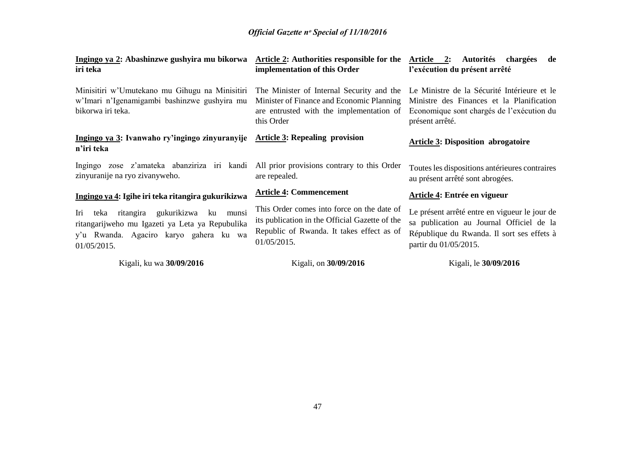| Ingingo ya 2: Abashinzwe gushyira mu bikorwa<br>iri teka                                                                                                  | <b>Article 2:</b> Authorities responsible for the<br>implementation of this Order                                                                        | Article 2: Autorités chargées<br>de<br>l'exécution du présent arrêté                                                                                             |
|-----------------------------------------------------------------------------------------------------------------------------------------------------------|----------------------------------------------------------------------------------------------------------------------------------------------------------|------------------------------------------------------------------------------------------------------------------------------------------------------------------|
| Minisitiri w'Umutekano mu Gihugu na Minisitiri<br>w'Imari n'Igenamigambi bashinzwe gushyira mu<br>bikorwa iri teka.                                       | The Minister of Internal Security and the<br>Minister of Finance and Economic Planning<br>are entrusted with the implementation of<br>this Order         | Le Ministre de la Sécurité Intérieure et le<br>Ministre des Finances et la Planification<br>Economique sont chargés de l'exécution du<br>présent arrêté.         |
| Ingingo ya 3: Ivanwaho ry'ingingo zinyuranyije Article 3: Repealing provision<br>n'iri teka                                                               |                                                                                                                                                          | <b>Article 3: Disposition abrogatoire</b>                                                                                                                        |
| Ingingo zose z'amateka abanziriza iri kandi<br>zinyuranije na ryo zivanyweho.                                                                             | All prior provisions contrary to this Order<br>are repealed.                                                                                             | Toutes les dispositions antérieures contraires<br>au présent arrêté sont abrogées.                                                                               |
| Ingingo ya 4: Igihe iri teka ritangira gukurikizwa                                                                                                        | <b>Article 4: Commencement</b>                                                                                                                           | Article 4: Entrée en vigueur                                                                                                                                     |
| ku munsi<br>teka ritangira gukurikizwa<br>Iri<br>ritangarijweho mu Igazeti ya Leta ya Repubulika<br>y'u Rwanda. Agaciro karyo gahera ku wa<br>01/05/2015. | This Order comes into force on the date of<br>its publication in the Official Gazette of the<br>Republic of Rwanda. It takes effect as of<br>01/05/2015. | Le présent arrêté entre en vigueur le jour de<br>sa publication au Journal Officiel de la<br>République du Rwanda. Il sort ses effets à<br>partir du 01/05/2015. |
| Kigali, ku wa 30/09/2016                                                                                                                                  | Kigali, on 30/09/2016                                                                                                                                    | Kigali, le 30/09/2016                                                                                                                                            |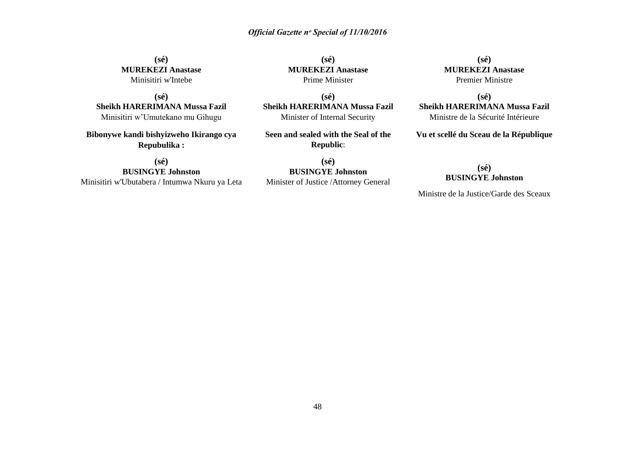**(sé) MUREKEZI Anastase** Minisitiri w'Intebe

**(sé) Sheikh HARERIMANA Mussa Fazil** Minisitiri w'Umutekano mu Gihugu

**Bibonywe kandi bishyizweho Ikirango cya Repubulika :**

**(sé) BUSINGYE Johnston** Minisitiri w'Ubutabera / Intumwa Nkuru ya Leta

**(sé) MUREKEZI Anastase** Prime Minister

**(sé) Sheikh HARERIMANA Mussa Fazil** Minister of Internal Security

**Seen and sealed with the Seal of the Republic**:

**(sé) BUSINGYE Johnston** Minister of Justice /Attorney General

**(sé) MUREKEZI Anastase** Premier Ministre

**(sé) Sheikh HARERIMANA Mussa Fazil** Ministre de la Sécurité Intérieure

**Vu et scellé du Sceau de la République**

#### **(sé) BUSINGYE Johnston**

Ministre de la Justice/Garde des Sceaux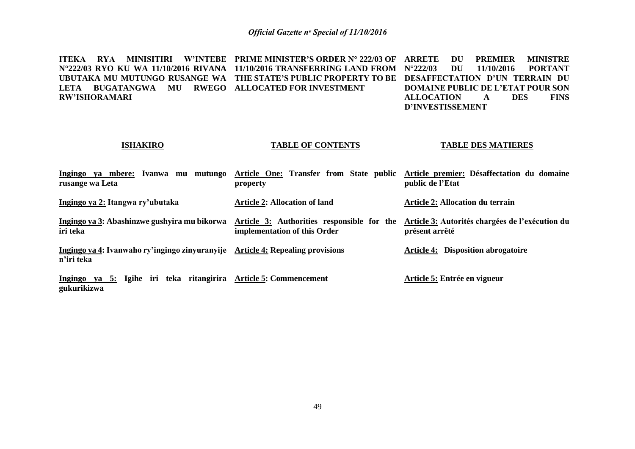**ITEKA RYA MINISITIRI W'INTEBE PRIME MINISTER'S ORDER N° 222/03 OF ARRETE DU PREMIER MINISTRE N°222/03 RYO KU WA 11/10/2016 RIVANA 11/10/2016 TRANSFERRING LAND FROM N°222/03 DU 11/10/2016 PORTANT UBUTAKA MU MUTUNGO RUSANGE WA THE STATE'S PUBLIC PROPERTY TO BE DESAFFECTATION D'UN TERRAIN DU LETA BUGATANGWA MU RWEGO ALLOCATED FOR INVESTMENT RW'ISHORAMARI DOMAINE PUBLIC DE L'ETAT POUR SON ALLOCATION A DES FINS D'INVESTISSEMENT**

#### **ISHAKIRO**

#### **TABLE OF CONTENTS**

#### **TABLE DES MATIERES**

| Ingingo ya mbere: Ivanwa mu mutungo<br>rusange wa Leta                                       | property                                                                   | Article One: Transfer from State public Article premier: Désaffectation du domaine<br>public de l'Etat |
|----------------------------------------------------------------------------------------------|----------------------------------------------------------------------------|--------------------------------------------------------------------------------------------------------|
| Ingingo ya 2: Itangwa ry'ubutaka                                                             | <b>Article 2: Allocation of land</b>                                       | <b>Article 2: Allocation du terrain</b>                                                                |
| Ingingo ya 3: Abashinzwe gushyira mu bikorwa<br>iri teka                                     | Article 3: Authorities responsible for the<br>implementation of this Order | Article 3: Autorités chargées de l'exécution du<br>présent arrêté                                      |
| Ingingo ya 4: Ivanwaho ry'ingingo zinyuranyije Article 4: Repealing provisions<br>n'iri teka |                                                                            | <b>Article 4: Disposition abrogatoire</b>                                                              |
| Ingingo ya 5: Igihe iri teka ritangirira<br>gukurikizwa                                      | <b>Article 5: Commencement</b>                                             | Article 5: Entrée en vigueur                                                                           |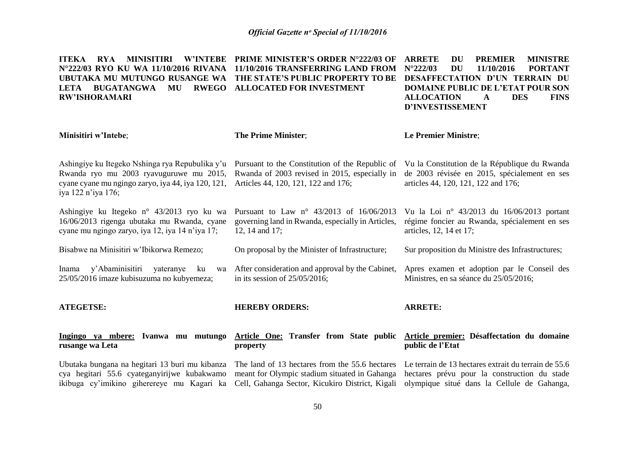| <b>RYA</b><br><b>MINISITIRI</b><br><b>W'INTEBE</b><br><b>ITEKA</b><br>N°222/03 RYO KU WA 11/10/2016 RIVANA<br>UBUTAKA MU MUTUNGO RUSANGE WA<br><b>BUGATANGWA</b><br><b>RWEGO</b><br>MU<br><b>LETA</b><br><b>RW'ISHORAMARI</b> | <b>PRIME MINISTER'S ORDER N°222/03 OF</b><br>11/10/2016 TRANSFERRING LAND FROM<br>THE STATE'S PUBLIC PROPERTY TO BE<br><b>ALLOCATED FOR INVESTMENT</b> | <b>ARRETE</b><br><b>MINISTRE</b><br>DU<br><b>PREMIER</b><br>$N^{\circ}222/03$<br><b>DU</b><br>11/10/2016<br><b>PORTANT</b><br><b>DESAFFECTATION D'UN TERRAIN DU</b><br><b>DOMAINE PUBLIC DE L'ETAT POUR SON</b><br><b>ALLOCATION</b><br><b>DES</b><br><b>FINS</b><br>A<br><b>D'INVESTISSEMENT</b> |
|-------------------------------------------------------------------------------------------------------------------------------------------------------------------------------------------------------------------------------|--------------------------------------------------------------------------------------------------------------------------------------------------------|---------------------------------------------------------------------------------------------------------------------------------------------------------------------------------------------------------------------------------------------------------------------------------------------------|
| Minisitiri w'Intebe;                                                                                                                                                                                                          | <b>The Prime Minister;</b>                                                                                                                             | Le Premier Ministre;                                                                                                                                                                                                                                                                              |
| Ashingiye ku Itegeko Nshinga rya Repubulika y'u<br>Rwanda ryo mu 2003 ryavuguruwe mu 2015,<br>cyane cyane mu ngingo zaryo, iya 44, iya 120, 121,<br>iya 122 n'iya 176;                                                        | Pursuant to the Constitution of the Republic of<br>Rwanda of 2003 revised in 2015, especially in<br>Articles 44, 120, 121, 122 and 176;                | Vu la Constitution de la République du Rwanda<br>de 2003 révisée en 2015, spécialement en ses<br>articles 44, 120, 121, 122 and 176;                                                                                                                                                              |
| Ashingiye ku Itegeko n° 43/2013 ryo ku wa<br>16/06/2013 rigenga ubutaka mu Rwanda, cyane<br>cyane mu ngingo zaryo, iya 12, iya 14 n'iya 17;                                                                                   | Pursuant to Law $n^{\circ}$ 43/2013 of 16/06/2013<br>governing land in Rwanda, especially in Articles,<br>12, 14 and 17;                               | Vu la Loi nº 43/2013 du 16/06/2013 portant<br>régime foncier au Rwanda, spécialement en ses<br>articles, 12, 14 et 17;                                                                                                                                                                            |
| Bisabwe na Minisitiri w'Ibikorwa Remezo;                                                                                                                                                                                      | On proposal by the Minister of Infrastructure;                                                                                                         | Sur proposition du Ministre des Infrastructures;                                                                                                                                                                                                                                                  |
| Inama y'Abaminisitiri yateranye<br>ku<br>wa<br>25/05/2016 imaze kubisuzuma no kubyemeza;                                                                                                                                      | After consideration and approval by the Cabinet,<br>in its session of $25/05/2016$ ;                                                                   | Apres examen et adoption par le Conseil des<br>Ministres, en sa séance du 25/05/2016;                                                                                                                                                                                                             |
| <b>ATEGETSE:</b>                                                                                                                                                                                                              | <b>HEREBY ORDERS:</b>                                                                                                                                  | <b>ARRETE:</b>                                                                                                                                                                                                                                                                                    |
| Ingingo ya mbere: Ivanwa mu mutungo<br>rusange wa Leta                                                                                                                                                                        | property                                                                                                                                               | Article One: Transfer from State public Article premier: Désaffectation du domaine<br>public de l'Etat                                                                                                                                                                                            |
| Ubutaka bungana na hegitari 13 buri mu kibanza<br>cya hegitari 55.6 cyateganyirijwe kubakwamo<br>ikibuga cy'imikino giherereye mu Kagari ka                                                                                   | The land of 13 hectares from the 55.6 hectares<br>meant for Olympic stadium situated in Gahanga<br>Cell, Gahanga Sector, Kicukiro District, Kigali     | Le terrain de 13 hectares extrait du terrain de 55.6<br>hectares prévu pour la construction du stade<br>olympique situé dans la Cellule de Gahanga,                                                                                                                                               |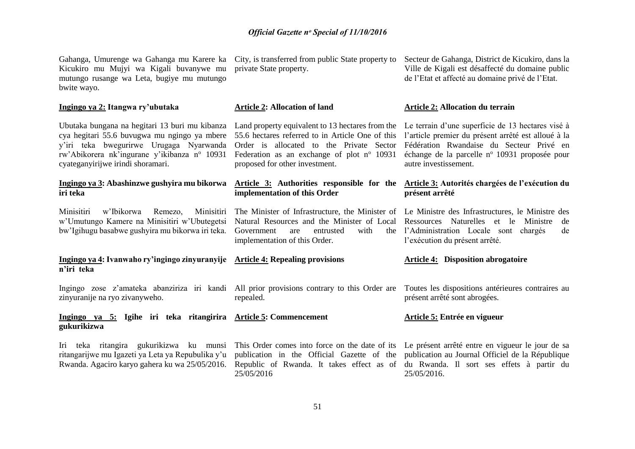Gahanga, Umurenge wa Gahanga mu Karere ka City, is transferred from public State property to Kicukiro mu Mujyi wa Kigali buvanywe mu mutungo rusange wa Leta, bugiye mu mutungo bwite wayo.

#### **Ingingo ya 2: Itangwa ry'ubutaka**

Ubutaka bungana na hegitari 13 buri mu kibanza Land property equivalent to 13 hectares from the Le terrain d'une superficie de 13 hectares visé à cya hegitari 55.6 buvugwa mu ngingo ya mbere 55.6 hectares referred to in Article One of this l'article premier du présent arrêté est alloué à la y'iri teka bwegurirwe Urugaga Nyarwanda rw'Abikorera nk'ingurane y'ikibanza n° 10931 cyateganyirijwe irindi shoramari.

#### **Ingingo ya 3: Abashinzwe gushyira mu bikorwa iri teka**

Minisitiri w'Ibikorwa Remezo, Minisitiri w'Umutungo Kamere na Minisitiri w'Ubutegetsi bw'Igihugu basabwe gushyira mu bikorwa iri teka.

#### **Ingingo ya 4: Ivanwaho ry'ingingo zinyuranyije Article 4: Repealing provisions n'iri teka**

zinyuranije na ryo zivanyweho.

#### **Ingingo ya 5: Igihe iri teka ritangirira Article 5: Commencement gukurikizwa**

Iri teka ritangira gukurikizwa ku munsi ritangarijwe mu Igazeti ya Leta ya Repubulika y'u Rwanda. Agaciro karyo gahera ku wa 25/05/2016.

private State property.

#### **Article 2: Allocation of land**

Order is allocated to the Private Sector Federation as an exchange of plot  $n^{\circ}$  10931 proposed for other investment.

#### **Article 3: Authorities responsible for the implementation of this Order**

Government are entrusted with implementation of this Order.

Ingingo zose z'amateka abanziriza iri kandi All prior provisions contrary to this Order are repealed.

25/05/2016

Secteur de Gahanga, District de Kicukiro, dans la Ville de Kigali est désaffecté du domaine public de l'Etat et affecté au domaine privé de l'Etat.

#### **Article 2: Allocation du terrain**

Fédération Rwandaise du Secteur Privé en échange de la parcelle nº 10931 proposée pour autre investissement.

#### **Article 3: Autorités chargées de l'exécution du présent arrêté**

The Minister of Infrastructure, the Minister of Le Ministre des Infrastructures, le Ministre des Natural Resources and the Minister of Local Ressources Naturelles et le Ministre de l'Administration Locale sont chargés de l'exécution du présent arrêté.

#### **Article 4: Disposition abrogatoire**

Toutes les dispositions antérieures contraires au présent arrêté sont abrogées.

#### **Article 5: Entrée en vigueur**

This Order comes into force on the date of its Le présent arrêté entre en vigueur le jour de sa publication in the Official Gazette of the publication au Journal Officiel de la République Republic of Rwanda. It takes effect as of du Rwanda. Il sort ses effets à partir du 25/05/2016.